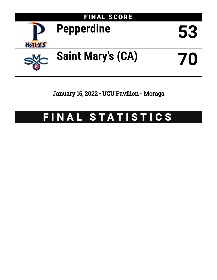

January 15, 2022 • UCU Pavilion - Moraga

# FINAL STATISTICS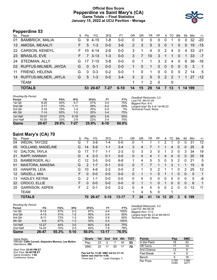### **Official Box Score Pepperdine vs Saint Mary's (CA) Game Totals -- Final Statistics January 15, 2022 at UCU Pavilion - Moraga**



# **Pepperdine 53**

| No.       | Player                  | S  | Pts            | FG.      | 3FG     | <b>FT</b> | OR             | DR       | TR             | PF       | A            | TO            | <b>Blk</b> | Stl            | Min | $+/-$          |
|-----------|-------------------------|----|----------------|----------|---------|-----------|----------------|----------|----------------|----------|--------------|---------------|------------|----------------|-----|----------------|
| 01        | <b>BAMBRICK, MALIA</b>  | G  | 9              | $4 - 15$ | 1-8     | $0 - 0$   | 0              | 0        | $\Omega$       | 0        | 0            |               | 0          | 0              | 32  | $-20$          |
| 13        | AMOSA, MEAALI'I         | F  | 5              | $1 - 3$  | $0 - 0$ | $3-6$     | $\overline{2}$ | 3        | 5              | 3        | $\mathbf{0}$ | 1             | $\Omega$   | $\mathbf{0}$   | 19  | $-15$          |
| <b>22</b> | <b>CARSON, KENDYL</b>   | F. | 10             | 4-14     | $2 - 6$ | $0 - 0$   | 3              | 1        | 4              | $\Omega$ | 2            | 4             | $\Omega$   | 4              | 33  | $-21$          |
| <b>23</b> | <b>BRASLIS, EVE</b>     | F. | $\overline{7}$ | $3 - 13$ | $1 - 3$ | $0 - 0$   | 3              | 7        | 10             | 3        | 1            | 1             | $\Omega$   | 1.             | 33  | $-7$           |
| 24        | <b>STEDMAN, ALLY</b>    | G  | 17             | 7-15     | 3-8     | $0-0$     | $\Omega$       |          |                | 3        | 2            | 4             | $\Omega$   | 6              | 38  | -16            |
|           | 03 RUFFUS-MILNER, JAYDA | G  | $\Omega$       | $0 - 1$  | $0 - 0$ | $0 - 0$   | 1              | $\Omega$ | 1              | $\Omega$ | $\mathbf{0}$ | $\Omega$      | $\Omega$   | $\Omega$       | -3  | $\overline{1}$ |
| 11        | FRIEND, HELENA          | G  | $\Omega$       | $0 - 3$  | $0 - 2$ | $0 - 0$   |                | 0        |                | $\Omega$ | $\Omega$     | $\Omega$      | $\Omega$   | 2              | 14  | 5              |
| 14        | RUFFUS-MILNER, JAYLA    | G  | 5              | $1 - 3$  | $0 - 0$ | $3 - 4$   | 3              | 2        | 5              | 5        | 2            | $\mathcal{P}$ |            | $\overline{1}$ | -27 | $-12$          |
|           | <b>TEAM</b>             |    |                |          |         |           | 1              | 1        | $\overline{2}$ | -0       |              | 0             |            |                |     |                |
|           | <b>TOTALS</b>           |    |                | 53 20-67 | $7-27$  | $6 - 10$  | 14             | 15       | 29             | 14       | 7            | 13            | 1          | 14 199         |     |                |

| <b>Shooting By Period</b> |           |       |          |       |          |       |                                              |
|---------------------------|-----------|-------|----------|-------|----------|-------|----------------------------------------------|
| Period                    | FG        | FG%   | 3FG      | 3FG%  | FT       | FT%   | Deadball Rebounds: 3,0<br>Last FG: 4th-01:44 |
| 1st Qtr                   | $8 - 20$  | 40%   | $4 - 7$  | 57%   | $3 - 4$  | 75%   | Biggest Run: 6-0                             |
| 2nd Qtr                   | $2 - 17$  | 12%   | $1 - 11$ | 09%   | $0 - 2$  | 00%   | Largest lead: By 8 at 1st                    |
| 3rd Qtr                   | $3 - 16$  | 19%   | $1 - 4$  | 25%   | $0-0$    | $0\%$ | Technical Fouls: None.                       |
| 4th Qtr                   | $7 - 14$  | 50%   | $1 - 5$  | 20%   | $3 - 4$  | 75%   |                                              |
| 1st Half                  | $10 - 37$ | 27%   | $5 - 18$ | 28%   | $3-6$    | 50%   |                                              |
| 2nd Half                  | 10-30     | 33%   | $2-9$    | 22%   | $3-4$    | 75%   |                                              |
| Game                      | 20-67     | 29.9% | 7-27     | 25.9% | $6 - 10$ | 60.0% |                                              |

*Last FG:* 4th-01:44 *Biggest Run:* 6-0 *Largest lead:* By 8 at 1st-06:23 *Technical Fouls:* None.

# **Saint Mary's (CA) 70**

|         | <b>TOTALS</b>          |    | 70       | 26-47   | $5 - 10$ | $13 - 17$ |          | 34       | 41       | 14       | 12 | 25 | 3            | 6            | 199 |       |
|---------|------------------------|----|----------|---------|----------|-----------|----------|----------|----------|----------|----|----|--------------|--------------|-----|-------|
|         | <b>TEAM</b>            |    |          |         |          |           |          | 4        | 5        | 0        |    | и  |              |              |     |       |
| 25      | <b>GARRISON, ASPEN</b> | F  | 2        | $0 - 1$ | $0 - 0$  | $2 - 2$   | 0        | 4        | 4        | 5        | 0  | 2  | 0            | 0            | 13  | 11    |
| 22      | CROCO, ELLIE           | F  | $\Omega$ | $0 - 0$ | $0 - 0$  | $0 - 0$   | $\Omega$ |          |          | $\Omega$ |    | 0  | $\mathbf{0}$ | $\mathbf{0}$ | 6   | 1     |
| 13      | HADLEY, KEYNA          | G  | 2.       | $1 - 1$ | $0 - 0$  | $0 - 0$   | $\Omega$ | $\Omega$ | $\Omega$ | $\Omega$ | 0  | 0  | $\Omega$     | $\Omega$     | 5   | -8    |
| $12 \,$ | <b>GRIZELJ, MIA</b>    | F. | $\Omega$ | $0 - 0$ | $0 - 0$  | $0 - 0$   | $\Omega$ |          |          | 0        |    |    | $\Omega$     | $\Omega$     | 5   | 1     |
| 03      | HANAFIN, LEIA          | G  | 10       | 4-6     | $2 - 2$  | $0 - 0$   | 2        |          | 3        | 2        |    |    | 0            | 2            | 25  | 12    |
| 01      | <b>MASTORA, MAKENA</b> | G  | 2        | $1 - 7$ | $0 - 1$  | $0 - 0$   | 0        | 7        |          |          |    | 3  | 1            |              | 15  | 6     |
| 33      | <b>BAMBERGER, ALI</b>  | C  | 12       | $3 - 5$ | $0 - 0$  | $6 - 8$   |          | 4        | 5        | 3        | 0  | 5  | 2            | 0            | 21  | 5     |
| 21      | RAPP, HANNAH           | G  | 4        | $2 - 3$ | $0 - 1$  | $0 - 0$   | 0        | 4        | 4        |          | 4  | 4  | 0            | 0            | 20  | 18    |
| 10      | DALTON, TAYLA          | G  | 17       | $7 - 7$ | $1 - 1$  | $2 - 3$   | 0        | 3        | 3        | 0        |    | 3  | 0            | 3            | 34  | 19    |
| 05      | HOLLAND, MADELINE      | G  | 14       | $5-9$   | $1 - 1$  | $3 - 4$   | 3        | 4        |          |          |    | 4  | $\mathbf{0}$ | 0            | 25  | 8     |
| 04      | <b>WEDIN, TAYCEE</b>   | G  |          | $3 - 8$ | $1 - 4$  | $0 - 0$   | 0        |          |          |          |    |    | 0            | 0            | 31  | 12    |
| No.     | Player                 | S  | Pts      | FG      | 3FG      | FT        | ΟR       | DR       | TR       | РF       | А  | TO | Blk          | Stl          | Min | $+/-$ |

#### *Shooting By Period*

| Period   | FG        | FG%   | 3FG     | 3FG%  | FT      | FT%   |
|----------|-----------|-------|---------|-------|---------|-------|
| 1st Qtr  | $8 - 14$  | 57%   | $2 - 3$ | 67%   | $4 - 4$ | 100%  |
| 2nd Qtr  | $4 - 13$  | 31%   | $1 - 2$ | 50%   | $2 - 4$ | 50%   |
| 3rd Qtr  | $8 - 11$  | 73%   | $1 - 2$ | 50%   | $3 - 5$ | 60%   |
| 4th Qtr  | $6-9$     | 67%   | $1 - 3$ | 33%   | $4 - 4$ | 100%  |
| 1st Half | $12 - 27$ | 44%   | $3-5$   | 60%   | $6 - 8$ | 75%   |
| 2nd Half | 14-20     | 70%   | $2 - 5$ | 40%   | 7-9     | 78%   |
| Game     | 26-47     | 55.3% | $5-10$  | 50.0% | 13-17   | 76.5% |

*Deadball Rebounds:* 3,0 *Last FG:* 4th-00:30 *Biggest Run:* 17-0 *Largest lead:* By 23 at 4th-06:51 *Technical Fouls:* None.

| Game Notes:                                                               | <b>Score</b>                             |     |                 |    |    | 1st 2nd 3rd 4th TOT | <b>Points</b>     |
|---------------------------------------------------------------------------|------------------------------------------|-----|-----------------|----|----|---------------------|-------------------|
| Officials: Cathi Cornell, Alejandro Morena, Lee Mullen<br>Attendance: 289 | Pep                                      | 23  | -5              |    | 18 | 53                  | In the Paint      |
|                                                                           | <b>SMC</b>                               | 22. | 11              | 20 |    | 70                  | Off Turns         |
| Start Time: 03:05 PM ET                                                   |                                          |     |                 |    |    |                     | 2nd Chance        |
| End Time: 04:46 PM ET<br>Game Duration: 1:40                              | Pep led for 13:40. SMC led for 21:14.    |     |                 |    |    |                     | <b>Fast Break</b> |
| Conference Game;                                                          | Game was tied for 4:58.<br>Times tied: 1 |     | Lead Changes: 1 |    |    |                     | Bench             |

| Points       | Pep            | <b>SMC</b>     |
|--------------|----------------|----------------|
| In the Paint | 16             | 42             |
| Off Turns    | 17             | 14             |
| 2nd Chance   | 12             | 8              |
| Fast Break   | 9              | 6              |
| Bench        | 5              | 16             |
| Per Poss     | 0.768<br>23/69 | 0.986<br>32/71 |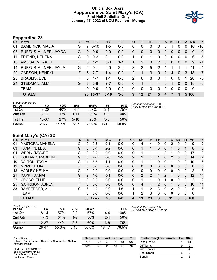#### **Official Box Score Pepperdine vs Saint Mary's (CA) First Half Statistics Only January 15, 2022 at UCU Pavilion - Moraga**



# **Pepperdine 28**

| No.       | . .<br>Player          | S  | Pts           | FG.      | 3FG      | <b>FT</b> | <b>OR</b> | DR           | TR             | <b>PF</b>     | $\mathsf{A}$   | TO       | <b>Blk</b>     | Stl            | <b>Min</b> | $+/-$        |
|-----------|------------------------|----|---------------|----------|----------|-----------|-----------|--------------|----------------|---------------|----------------|----------|----------------|----------------|------------|--------------|
| 01        | <b>BAMBRICK, MALIA</b> | G  |               | $3 - 10$ | $1 - 5$  | $0 - 0$   | 0         | $\Omega$     | 0              | 0             | 0              |          | 0              | 0              | 18         | $-10$        |
| 03        | RUFFUS-MILNER, JAYDA   | G  | $\Omega$      | $0 - 0$  | $0 - 0$  | $0 - 0$   | 0         | $\mathbf{0}$ | $\mathbf{0}$   | 0             | $\overline{0}$ | 0        | 0              | $\overline{0}$ | $\Omega$   | $\mathbf{0}$ |
| 11        | FRIEND, HELENA         | G  | $\Omega$      | $0 - 2$  | $0 - 1$  | $0 - 0$   |           | $\Omega$     | 1              | $\Omega$      | $\mathbf{0}$   | $\Omega$ | 0              | 0              | 6          | 5            |
| 13        | AMOSA, MEAALI'I        | F. | 3             | $1 - 2$  | $0 - 0$  | $1 - 4$   |           | 2            | 3              | 2             | $\overline{0}$ | 0        | $\overline{0}$ | $\Omega$       | 9          | $-1$         |
| 14        | RUFFUS-MILNER, JAYLA   | G  | $\mathcal{P}$ | $0 - 1$  | $0 - 0$  | $2 - 2$   | 3         | 2            | 5              | $\mathcal{P}$ | 1              |          | 1              | 1              | 11         | $-4$         |
| <b>22</b> | <b>CARSON, KENDYL</b>  | F  | 5             | $2 - 7$  | $1 - 4$  | $0-0$     | 2         |              | 3              | $\Omega$      | $\mathcal{P}$  | 4        | $\Omega$       | 3              | 18         | $-7$         |
| 23        | <b>BRASLIS, EVE</b>    | F  | 3             | $1 - 7$  | $1 - 1$  | $0-0$     | 2         | 6            | 8              | $\Omega$      | 1              | $\Omega$ | $\Omega$       |                | 20         | -5           |
| 24        | STEDMAN, ALLY          | G  | 8             | $3 - 8$  | $2 - 7$  | $0-0$     | 0         |              | 1              | 1             | $\Omega$       | 1        | 0              | $\Omega$       | 18         | -3           |
|           | <b>TEAM</b>            |    | 0             | $0 - 0$  | $0-0$    | $0 - 0$   | 0         | 0            | 0              | 0             | 0              | $\Omega$ | 0              | 0              | 0          |              |
|           | <b>TOTALS</b>          |    |               | 28 10-37 | $5 - 18$ | $3 - 6$   | 9         | 12           | 2 <sub>1</sub> | 5             | 4              |          | 1              |                | 5 100      |              |

| Shooting By Period<br>Period | FG        | FG%   | 3FG      | 3FG%  | FT      | FT%   |
|------------------------------|-----------|-------|----------|-------|---------|-------|
| 1st Otr                      | $8 - 20$  | 40%   | 4-7      | 57%   | $3-4$   | 75%   |
| 2nd Qtr                      | $2 - 17$  | 12%   | 1-11     | 09%   | $0 - 2$ | 00%   |
| 1st Half                     | $10 - 37$ | 27%   | $5 - 18$ | 28%   | $3-6$   | 50%   |
| Game                         | 20-67     | 29.9% | 7-27     | 25.9% | ჩ-10    | 60.0% |

*Deadball Rebounds:* 3,0 *Last FG Half:* Pep 2nd-09:02

# **Saint Mary's (CA) 33**

| No. | Plaver                 | S  | <b>Pts</b>   | <b>FG</b> | 3FG     | <b>FT</b> | <b>OR</b>      | <b>DR</b> | <b>TR</b>      | PF            | A        | TO | <b>Blk</b>   | Stl      | Min | $+/-$          |
|-----|------------------------|----|--------------|-----------|---------|-----------|----------------|-----------|----------------|---------------|----------|----|--------------|----------|-----|----------------|
| 01  | MASTORA, MAKENA        | G  | 0            | $0 - 6$   | $0 - 1$ | $0-0$     | 0              | 4         | 4              | 0             | 0        | 2  | 0            | 0        | 9   | 2              |
| 03  | HANAFIN, LEIA          | G  | 8            | $3 - 4$   | $2 - 2$ | $0 - 0$   | 0              |           |                | 0             | 0        | 1  | 0            |          | 8   | 3              |
| 04  | <b>WEDIN, TAYCEE</b>   | G  | 0            | $0 - 2$   | $0 - 0$ | $0 - 0$   | $\mathbf{0}$   |           |                |               | 2        | 1  | 0            | 0        | 17  | 3              |
| 05  | HOLLAND, MADELINE      | G  | 6            | $2 - 6$   | $0 - 0$ | $2 - 2$   | $\overline{2}$ | 2         | 4              |               | 0        | 2  | 0            | $\Omega$ | 14  | $-2$           |
| 10  | DALTON, TAYLA          | G  | 11           | $5 - 5$   | $1 - 1$ | $0-0$     | 0              |           | 1              | 0             | 0        | 1  | 0            | 2        | 19  | 3              |
| 12  | GRIZELJ, MIA           | F. | 0            | $0 - 0$   | $0 - 0$ | $0 - 0$   | 0              | 0         | $\mathbf{0}$   | 0             | 0        | 0  | $\mathbf{0}$ | $\Omega$ | 0   | $\mathbf{0}$   |
| 13  | HADLEY, KEYNA          | G  | 0            | $0 - 0$   | $0 - 0$ | $0 - 0$   | 0              | 0         | $\Omega$       | 0             | 0        | 0  | 0            | 0        | 2   | -5             |
| 21  | RAPP, HANNAH           | G  | $\mathbf{2}$ | $1 - 2$   | $0 - 1$ | $0 - 0$   | 0              | 2         | 2              |               | 2        |    | $\mathbf{0}$ | $\Omega$ | 12  | 14             |
| 22  | CROCO, ELLIE           | F  | 0            | $0 - 0$   | $0 - 0$ | $0 - 0$   | 0              |           |                | O             | 1        | 0  | 0            | $\Omega$ | 2   | $\overline{2}$ |
| 25  | <b>GARRISON, ASPEN</b> | F  | 0            | $0 - 0$   | $0 - 0$ | $0 - 0$   | $\Omega$       | 4         | 4              | $\mathcal{P}$ | $\Omega$ | 1  | $\Omega$     | $\Omega$ | 10  | 11             |
| 33  | <b>BAMBERGER, ALI</b>  | C  | 6            | $1 - 2$   | $0 - 0$ | $4-6$     |                |           | $\overline{2}$ | 3             | 0        | 2  | $\mathbf 0$  | 0        | 8   | -6             |
|     | <b>TEAM</b>            |    | 0            | $0 - 0$   | $0 - 0$ | $0 - 0$   |                | 2         | 3              | 0             | 0        | 0  | 0            | 0        | 0   |                |
|     | <b>TOTALS</b>          |    | 33           | $12 - 27$ | $3 - 5$ | $6 - 8$   | 4              | 19        | 23             | 8             | 5        | 11 | $\bf{0}$     | 3        | 100 |                |

| <b>Shooting By Period</b><br>Period | FG        | FG%   | 3FG     | 3FG%  | FT        | FT%   |
|-------------------------------------|-----------|-------|---------|-------|-----------|-------|
| 1st Otr                             | 8-14      | 57%   | $2-3$   | 67%   | 4-4       | 100%  |
| 2nd Otr                             | $4 - 13$  | 31%   | $1 - 2$ | 50%   | $2 - 4$   | 50%   |
| 1st Half                            | $12 - 27$ | 44%   | $3-5$   | 60%   | $6 - 8$   | 75%   |
| Game                                | 26-47     | 55.3% | $5-10$  | 50.0% | $13 - 17$ | 76.5% |

*Deadball Rebounds:* 3,0 *Last FG Half:* SMC 2nd-00:35

| Game Notes:                                                               | <b>Score</b> | 1st | 2nd | 3rd | 4th | <b>TOT</b> | <b>Points from (This Period)</b> |    | Pep SMC |
|---------------------------------------------------------------------------|--------------|-----|-----|-----|-----|------------|----------------------------------|----|---------|
| Officials: Cathi Cornell, Alejandro Morena, Lee Mullen<br>Attendance: 289 | Pep          | 23  |     |     | 18  | 53         | In the Paint                     |    | 18      |
|                                                                           | <b>SMC</b>   | 22  |     | 20  |     | 70         | Off Turns                        |    |         |
| Start Time: 03:05 PM ET                                                   |              |     |     |     |     |            | 2nd Chance                       | 10 |         |
| End Time: 04:46 PM ET<br>Game Duration: 1:40                              |              |     |     |     |     |            | <b>Fast Break</b>                |    |         |
| Conference Game:                                                          |              |     |     |     |     |            | Bench                            |    |         |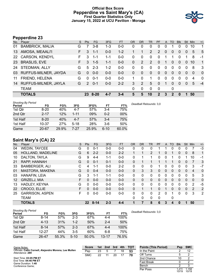#### **Official Box Score Pepperdine vs Saint Mary's (CA) First Quarter Statistics Only January 15, 2022 at UCU Pavilion - Moraga**



# **Pepperdine 23**

| No.       | Player                 | S. | Pts           | FG.     | 3FG     | <b>FT</b> | <b>OR</b> | <b>DR</b>    | <b>TR</b>      | <b>PF</b>     | A            | TO             | <b>B</b> lk | <b>Stl</b>   | Min      | $+/-$          |
|-----------|------------------------|----|---------------|---------|---------|-----------|-----------|--------------|----------------|---------------|--------------|----------------|-------------|--------------|----------|----------------|
| 01        | <b>BAMBRICK, MALIA</b> | G  |               | $3 - 8$ | $1 - 3$ | $0 - 0$   | 0         | 0            | 0              | 0             | 0            |                | 0           | 0            | 10       | 1              |
| 13        | AMOSA, MEAALI'I        | F. | 3             | $1 - 1$ | $0 - 0$ | $1 - 2$   |           | 1            | $\overline{2}$ | 2             | $\mathbf{0}$ | 0              | 0           | 0            | 5        | 5              |
| 22        | <b>CARSON, KENDYL</b>  | F. | 3             | $1 - 1$ | 1-1     | $0 - 0$   | $\Omega$  | $\Omega$     | $\Omega$       | $\Omega$      |              |                | 0           |              | 8        | -1             |
| <b>23</b> | <b>BRASLIS, EVE</b>    | F. | 3             | $1 - 5$ | $1 - 1$ | $0 - 0$   | 0         | 2            | 2              | $\Omega$      | 1            | $\Omega$       | $\Omega$    | $\Omega$     | 10       | $\mathbf{1}$   |
| 24        | STEDMAN, ALLY          | G  | 5             | $2 - 3$ | $1 - 2$ | $0 - 0$   | 0         | 0            | 0              | $\mathbf{0}$  | $\mathbf 0$  | 0              | 0           | $\mathbf{0}$ | 8        | -3             |
| 03        | RUFFUS-MILNER, JAYDA   | G  | $\Omega$      | $0 - 0$ | $0 - 0$ | $0 - 0$   | 0         | $\mathbf{0}$ | $\mathbf{0}$   | $\Omega$      | $\mathbf{0}$ | $\overline{0}$ | $\Omega$    | $\Omega$     | $\Omega$ | $\overline{0}$ |
| 11        | FRIEND, HELENA         | G  | $\Omega$      | $0 - 1$ | $0-0$   | $0-0$     |           | $\Omega$     | 1              | 0             | $\mathbf{0}$ | $\Omega$       | $\Omega$    | $\Omega$     | 4        | $\Omega$       |
| 14        | RUFFUS-MILNER, JAYLA   | G  | $\mathcal{P}$ | $0 - 1$ | $0 - 0$ | $2 - 2$   | 3         | 2            | 5.             | $\Omega$      | $\sim$       | $\Omega$       | $\Omega$    | $\Omega$     | 5        | $-4$           |
|           | <b>TEAM</b>            |    |               |         |         |           | 0         | $\mathbf 0$  | $\Omega$       | 0             |              | 0              |             |              |          |                |
|           | <b>TOTALS</b>          |    |               | 23 8-20 | $4 - 7$ | $3 - 4$   | 5         | 5            | 10             | $\mathcal{P}$ | 3            | 2              | 0           |              | 50       |                |

| <b>Shooting By Period</b><br>Period | FG        | FG%   | 3FG      | 3FG%  | FT       | FT%   | Deadball Rebounds: 3,0 |
|-------------------------------------|-----------|-------|----------|-------|----------|-------|------------------------|
| 1st Qtr                             | $8 - 20$  | 40%   | 4-7      | 57%   | 3-4      | 75%   |                        |
| 2nd Qtr                             | $2 - 17$  | 12%   | $1 - 11$ | 09%   | $0 - 2$  | 00%   |                        |
| 1st Half                            | $8 - 20$  | 40%   | $4 - 7$  | 57%   | 3-4      | 75%   |                        |
| 1st Half                            | $10 - 37$ | 27%   | $5 - 18$ | 28%   | $3-6$    | 50%   |                        |
| Game                                | $20 - 67$ | 29.9% | 7-27     | 25.9% | $6 - 10$ | 60.0% |                        |

# **Saint Mary's (CA) 22**

| No. | Plaver                 | S  | Pts          | <b>FG</b> | 3FG     | <b>FT</b> | <b>OR</b> | <b>DR</b> | <b>TR</b>      | <b>PF</b>     | A              | TO       | <b>B</b> lk | <b>Stl</b>   | Min            | $+/-$          |
|-----|------------------------|----|--------------|-----------|---------|-----------|-----------|-----------|----------------|---------------|----------------|----------|-------------|--------------|----------------|----------------|
| 04  | <b>WEDIN, TAYCEE</b>   | G  | $\Omega$     | $0 - 1$   | $0 - 0$ | $0 - 0$   | 0         | 0         | 0              |               |                | 0        | 0           | 0            |                | $-3$           |
| 05  | HOLLAND, MADELINE      | G  | 6            | $2 - 2$   | $0 - 0$ | $2 - 2$   |           |           | $\overline{2}$ |               | 0              |          | 0           | $\Omega$     | 8              | 1              |
| 10  | DALTON, TAYLA          | G  | 9            | $4 - 4$   | $1 - 1$ | $0-0$     | 0         |           | 1              | 0             | 0              |          | 0           |              | 10             | $-1$           |
| 21  | RAPP, HANNAH           | G  | $\Omega$     | $0 - 1$   | $0 - 1$ | $0 - 0$   | 0         |           | $\mathbf 1$    |               |                |          | 0           | $\mathbf{0}$ | 7              | 3              |
| 33  | BAMBERGER, ALI         | С  | 4            | $1 - 1$   | $0-0$   | $2 - 2$   | 0         | $\Omega$  | $\mathbf{0}$   |               | 0              | 0        | 0           | 0            | 3              | $-7$           |
| 01  | MASTORA, MAKENA        | G  | $\mathbf{0}$ | $0 - 4$   | $0 - 0$ | $0 - 0$   | 0         | 3         | 3              | 0             | $\overline{0}$ | 0        | 0           | $\Omega$     | $\overline{4}$ | $\mathbf{0}$   |
| 03  | HANAFIN, LEIA          | G  | 3            | 1-1       | 1-1     | $0-0$     | 0         | 0         | $\mathbf{0}$   | 0             | 0              | 0        | 0           | $\Omega$     | 5              | 3              |
| 12  | GRIZELJ, MIA           | F. | $\Omega$     | $0 - 0$   | $0 - 0$ | $0 - 0$   | $\Omega$  | 0         | $\Omega$       | 0             | $\Omega$       | $\Omega$ | $\Omega$    | $\Omega$     | 0              | $\mathbf{0}$   |
| 13  | HADLEY, KEYNA          | G  | $\Omega$     | $0 - 0$   | $0 - 0$ | $0-0$     | 0         | 0         | $\mathbf{0}$   | 0             | 0              | 0        | 0           | 0            | 2              | $-5$           |
| 22  | CROCO, ELLIE           | F  | 0            | $0 - 0$   | $0 - 0$ | $0 - 0$   | 0         |           | 1              | 0             |                | $\Omega$ | $\Omega$    | $\Omega$     | $\overline{2}$ | 2              |
| 25  | <b>GARRISON, ASPEN</b> | F. | 0            | $0 - 0$   | $0 - 0$ | $0 - 0$   | 0         | $\Omega$  | $\Omega$       | $\mathcal{P}$ | 0              |          | 0           | 0            | 3              | $\overline{2}$ |
|     | TEAM                   |    |              |           |         |           | 0         | 0         | $\mathbf{0}$   | 0             |                | 0        |             |              |                |                |
|     | <b>TOTALS</b>          |    | 22           | $8 - 14$  | $2 - 3$ | $4 - 4$   |           |           | 8              | 6             | 3              | 4        | 0           |              | 50             |                |

| <b>Shooting By Period</b><br>Period | FG        | FG%   | 3FG      | 3FG%  | FT        | FT%   | Deadball Rebounds: 3,0 |
|-------------------------------------|-----------|-------|----------|-------|-----------|-------|------------------------|
| 1st Qtr                             | 8-14      | 57%   | $2 - 3$  | 67%   | 4-4       | 100%  |                        |
| 2nd Qtr                             | $4 - 13$  | 31%   | $1 - 2$  | 50%   | $2 - 4$   | 50%   |                        |
| 1st Half                            | $8 - 14$  | 57%   | $2 - 3$  | 67%   | $4 - 4$   | 100%  |                        |
| 1st Half                            | $12 - 27$ | 44%   | $3-5$    | 60%   | 6-8       | 75%   |                        |
| Game                                | 26-47     | 55.3% | $5 - 10$ | 50.0% | $13 - 17$ | 76.5% |                        |

| Game Notes:                                                               | <b>Score</b> | 1st | 2 <sub>nd</sub> | 3rd | 4th | TOT | <b>Points (This Period)</b> | Pep | <b>SMC</b> |
|---------------------------------------------------------------------------|--------------|-----|-----------------|-----|-----|-----|-----------------------------|-----|------------|
| Officials: Cathi Cornell, Alejandro Morena, Lee Mullen<br>Attendance: 289 | Pep          | 23  |                 |     | 18  | 53  | In the Paint                |     |            |
|                                                                           | <b>SMC</b>   | 22  |                 | 20  |     | 70  | Off Turns                   |     |            |
| Start Time: 03:05 PM ET                                                   |              |     |                 |     |     |     | 2nd Chance                  |     |            |
| End Time: 04:46 PM ET<br>Game Duration: 1:40                              |              |     |                 |     |     |     | <b>Fast Break</b>           |     |            |
| Conference Game;                                                          |              |     |                 |     |     |     | Bench                       |     |            |

1.211<br>10/19

1.158 10/19

Per Poss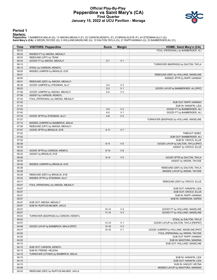#### **Official Play-By-Play Pepperdine vs Saint Mary's (CA) First Quarter January 15, 2022 at UCU Pavilion - Moraga**



#### **Period 1**

<mark>Starters:</mark><br>Pepperdine: 1 BAMBRICK,MALIA (G); 13 AMOSA,MEAALI'I (F); 22 CARSON,KENDYL (F); 23 BRASLIS,EVE (F); 24 STEDMAN,ALLY (G);<br>Saint **Mary's (CA)**: 4 WEDIN,TAYCEE (G); 5 HOLLAND,MADELINE (G); 10 DALTON,TAYLA (G); 21 R

| Time           | <b>VISITORS: Pepperdine</b>                                       | <b>Score</b> | <b>Margin</b>  | <b>HOME: Saint Mary's (CA)</b>                             |
|----------------|-------------------------------------------------------------------|--------------|----------------|------------------------------------------------------------|
| 09:33          |                                                                   |              |                | FOUL (PERSONAL) by BAMBERGER, ALI                          |
| 09:33          | MISSED FT by AMOSA, MEAALI'I                                      |              |                |                                                            |
| 09:33          | REBOUND (OFF) by TEAM                                             |              |                |                                                            |
| 09:33          | GOOD! FT by AMOSA, MEAALI'I                                       | $0 - 1$      | V <sub>1</sub> |                                                            |
| 09:13          |                                                                   |              |                | TURNOVER (BADPASS) by DALTON, TAYLA                        |
| 09:13          | STEAL by CARSON, KENDYL                                           |              |                |                                                            |
| 09:05          | MISSED JUMPER by BRASLIS, EVE                                     |              |                |                                                            |
| 09:01          |                                                                   |              |                | REBOUND (DEF) by HOLLAND, MADELINE                         |
| 08:55          |                                                                   |              |                | MISSED 3PTR by RAPP, HANNAH                                |
| 08:51<br>08:36 | REBOUND (DEF) by AMOSA, MEAALI'I<br>GOOD! JUMPER by STEDMAN, ALLY | $0 - 3$      | $V_3$          |                                                            |
| 08:23          |                                                                   | $2 - 3$      | V <sub>1</sub> | GOOD! LAYUP by BAMBERGER, ALI [PNT]                        |
| 07:58          | GOOD! JUMPER by AMOSA, MEAALI'I                                   | $2 - 5$      | $V_3$          |                                                            |
| 07:58          | ASSIST by CARSON, KENDYL                                          |              |                |                                                            |
| 07:43          | FOUL (PERSONAL) by AMOSA, MEAALI'I                                |              |                |                                                            |
| 07:43          |                                                                   |              |                | SUB OUT: RAPP, HANNAH                                      |
| 07:43          |                                                                   |              |                | SUB IN: HANAFIN, LEIA                                      |
| 07:43          |                                                                   | $3-5$        | V <sub>2</sub> | GOOD! FT by BAMBERGER, ALI                                 |
| 07:43          |                                                                   | $4 - 5$      | V <sub>1</sub> | GOOD! FT by BAMBERGER, ALI                                 |
| 07:33          | GOOD! 3PTR by STEDMAN, ALLY                                       | $4 - 8$      | V <sub>4</sub> |                                                            |
| 07:27          |                                                                   |              |                | TURNOVER (BADPASS) by HOLLAND, MADELINE                    |
| 07:14          | MISSED JUMPER by BAMBRICK, MALIA                                  |              |                |                                                            |
| 07:09          | REBOUND (OFF) by AMOSA, MEAALI'I                                  |              |                |                                                            |
| 07:07          | GOOD! 3PTR by BRASLIS, EVE                                        | $4 - 11$     | V <sub>7</sub> |                                                            |
| 07:02          |                                                                   |              |                | TIMEOUT 30SEC                                              |
| 07:02          |                                                                   |              |                | SUB OUT: BAMBERGER, ALI                                    |
| 07:02<br>06:39 |                                                                   | $6 - 11$     | V <sub>5</sub> | SUB IN: CROCO, ELLIE<br>GOOD! LAYUP by DALTON, TAYLA [PNT] |
| 06:39          |                                                                   |              |                | ASSIST by CROCO, ELLIE                                     |
| 06:23          | GOOD! 3PTR by CARSON, KENDYL                                      | $6 - 14$     | V8             |                                                            |
| 06:23          | ASSIST by BRASLIS, EVE                                            |              |                |                                                            |
| 06:05          |                                                                   | $9 - 14$     | V <sub>5</sub> | GOOD! 3PTR by DALTON, TAYLA                                |
| 06:05          |                                                                   |              |                | ASSIST by WEDIN, TAYCEE                                    |
| 05:40          | MISSED JUMPER by BRASLIS, EVE                                     |              |                |                                                            |
| 05:36          |                                                                   |              |                | REBOUND (DEF) by DALTON, TAYLA                             |
| 05:29          |                                                                   |              |                | MISSED LAYUP by WEDIN, TAYCEE                              |
| 05:26          | REBOUND (DEF) by BRASLIS, EVE                                     |              |                |                                                            |
| 05:22          | MISSED 3PTR by STEDMAN, ALLY                                      |              |                |                                                            |
| 05:17          |                                                                   |              |                | REBOUND (DEF) by CROCO, ELLIE                              |
| 05:07          | FOUL (PERSONAL) by AMOSA, MEAALI'I                                |              |                |                                                            |
| 05:07          |                                                                   |              |                | SUB OUT: HANAFIN, LEIA                                     |
| 05:07          |                                                                   |              |                | SUB OUT: CROCO, ELLIE                                      |
| 05:07          |                                                                   |              |                | SUB IN: RAPP, HANNAH                                       |
| 05:07<br>05:07 |                                                                   |              |                | SUB IN: GARRISON, ASPEN                                    |
| 05:07          | SUB OUT: AMOSA, MEAALI'I<br>SUB IN: RUFFUS-MILNER, JAYLA          |              |                |                                                            |
| 05:07          |                                                                   | $10 - 14$    | V <sub>4</sub> | GOOD! FT by HOLLAND, MADELINE                              |
| 05:07          |                                                                   | $11 - 14$    | V <sub>3</sub> | GOOD! FT by HOLLAND, MADELINE                              |
| 05:03          | TURNOVER (BADPASS) by CARSON, KENDYL                              |              |                |                                                            |
| 05:03          |                                                                   |              |                | STEAL by DALTON, TAYLA                                     |
| 04:57          |                                                                   | 13-14        | V <sub>1</sub> | GOOD! LAYUP by DALTON, TAYLA [FB/PNT]                      |
| 04:49          | GOOD! LAYUP by BAMBRICK, MALIA [PNT]                              | $13 - 16$    | $V_3$          |                                                            |
| 04:37          |                                                                   | $15 - 16$    | V <sub>1</sub> | GOOD! JUMPER by HOLLAND, MADELINE [PNT]                    |
| 04:20          |                                                                   |              |                | FOUL (PERSONAL) by WEDIN, TAYCEE                           |
| 04:20          |                                                                   |              |                | SUB OUT: RAPP, HANNAH                                      |
| 04:20          |                                                                   |              |                | SUB IN: MASTORA, MAKENA                                    |
| 04:15          |                                                                   |              |                | SUB OUT: HOLLAND, MADELINE                                 |
| 04:15          | SUB OUT: CARSON, KENDYL                                           |              |                |                                                            |
| 04:15          | SUB IN: FRIEND, HELENA                                            |              |                |                                                            |
| 04:15          | TURNOVER (OTHER) by BAMBRICK, MALIA                               |              |                |                                                            |
| 04:15          |                                                                   |              |                | SUB IN: HANAFIN, LEIA                                      |
| 04:15<br>04:15 |                                                                   |              |                | SUB OUT: HANAFIN, LEIA<br>SUB IN: HADLEY, KEYNA            |
| 04:09          |                                                                   |              |                | MISSED LAYUP by MASTORA, MAKENA                            |
| 04:03          | REBOUND (DEF) by RUFFUS-MILNER, JAYLA                             |              |                |                                                            |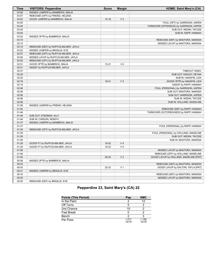| Time  | <b>VISITORS: Pepperdine</b>           | <b>Score</b> | <b>Margin</b>  | <b>HOME: Saint Mary's (CA)</b>          |
|-------|---------------------------------------|--------------|----------------|-----------------------------------------|
| 03:59 | MISSED JUMPER by BAMBRICK, MALIA      |              |                |                                         |
| 03:57 | REBOUND (OFF) by FRIEND, HELENA       |              |                |                                         |
| 03:52 | GOOD! JUMPER by BAMBRICK, MALIA       | $15-18$      | V <sub>3</sub> |                                         |
| 03:40 |                                       |              |                | FOUL (OFF) by GARRISON, ASPEN           |
| 03:40 |                                       |              |                | TURNOVER (OFFENSIVE) by GARRISON, ASPEN |
| 03:40 |                                       |              |                | SUB OUT: WEDIN, TAYCEE                  |
| 03:40 |                                       |              |                | SUB IN: RAPP, HANNAH                    |
| 03:22 | MISSED 3PTR by BAMBRICK, MALIA        |              |                |                                         |
| 03:19 |                                       |              |                | REBOUND (DEF) by MASTORA, MAKENA        |
| 03:13 |                                       |              |                | MISSED LAYUP by MASTORA, MAKENA         |
| 03:10 | REBOUND (DEF) by RUFFUS-MILNER, JAYLA |              |                |                                         |
| 03:02 | MISSED JUMPER by BRASLIS, EVE         |              |                |                                         |
| 02:57 | REBOUND (OFF) by RUFFUS-MILNER, JAYLA |              |                |                                         |
| 02:56 | MISSED LAYUP by RUFFUS-MILNER, JAYLA  |              |                |                                         |
| 02:52 | REBOUND (OFF) by RUFFUS-MILNER, JAYLA |              |                |                                         |
| 02:51 | GOOD! 3PTR by BAMBRICK, MALIA         | $15 - 21$    | $V_6$          |                                         |
| 02:51 | ASSIST by RUFFUS-MILNER, JAYLA        |              |                |                                         |
| 02:47 |                                       |              |                | TIMEOUT 30SEC                           |
| 02:25 |                                       |              |                | SUB OUT: HADLEY, KEYNA                  |
| 02:25 |                                       |              |                | SUB IN: HANAFIN, LEIA                   |
| 02:18 |                                       | $18 - 21$    | V <sub>3</sub> | GOOD! 3PTR by HANAFIN, LEIA             |
| 02:18 |                                       |              |                | ASSIST by RAPP, HANNAH                  |
| 02:06 |                                       |              |                | FOUL (PERSONAL) by GARRISON, ASPEN      |
| 02:06 |                                       |              |                | SUB OUT: MASTORA, MAKENA                |
| 02:06 |                                       |              |                | SUB OUT: GARRISON, ASPEN                |
| 02:06 |                                       |              |                | SUB IN: WEDIN, TAYCEE                   |
| 02:06 |                                       |              |                | SUB IN: HOLLAND, MADELINE               |
| 01:56 | MISSED JUMPER by FRIEND, HELENA       |              |                |                                         |
| 01:52 |                                       |              |                | REBOUND (DEF) by RAPP, HANNAH           |
| 01:46 |                                       |              |                | TURNOVER (OUTOFBOUNDS) by RAPP, HANNAH  |
| 01:46 | SUB OUT: STEDMAN, ALLY                |              |                |                                         |
| 01:46 | SUB IN: CARSON, KENDYL                |              |                |                                         |
| 01:37 | MISSED JUMPER by BAMBRICK, MALIA      |              |                |                                         |
| 01:37 |                                       |              |                | FOUL (PERSONAL) by RAPP, HANNAH         |
| 01:29 | REBOUND (OFF) by RUFFUS-MILNER, JAYLA |              |                |                                         |
| 01:29 |                                       |              |                | FOUL (PERSONAL) by HOLLAND, MADELINE    |
| 01:29 |                                       |              |                | SUB OUT: WEDIN, TAYCEE                  |
| 01:29 |                                       |              |                | SUB IN: MASTORA, MAKENA                 |
| 01:29 | GOOD! FT by RUFFUS-MILNER, JAYLA      | 18-22        | V <sub>4</sub> |                                         |
| 01:29 | GOOD! FT by RUFFUS-MILNER, JAYLA      | 18-23        | V <sub>5</sub> |                                         |
| 01:08 |                                       |              |                | MISSED LAYUP by MASTORA, MAKENA         |
| 01:06 |                                       |              |                | REBOUND (OFF) by HOLLAND, MADELINE      |
| 01:05 |                                       | $20 - 23$    | V <sub>3</sub> | GOOD! LAYUP by HOLLAND, MADELINE [PNT]  |
| 00:58 | MISSED 3PTR by BAMBRICK, MALIA        |              |                |                                         |
| 00:53 |                                       |              |                | REBOUND (DEF) by MASTORA, MAKENA        |
| 00:42 |                                       | 22-23        | V <sub>1</sub> | GOOD! LAYUP by DALTON, TAYLA [PNT]      |
| 00:21 | MISSED JUMPER by BRASLIS, EVE         |              |                |                                         |
| 00:16 |                                       |              |                | REBOUND (DEF) by MASTORA, MAKENA        |
| 00:05 |                                       |              |                | MISSED LAYUP by MASTORA, MAKENA         |
| 00:05 | REBOUND (DEF) by BRASLIS, EVE         |              |                |                                         |

# **Pepperdine 23, Saint Mary's (CA) 22**

| <b>Points (This Period)</b> | Pep              | <b>SMC</b>     |
|-----------------------------|------------------|----------------|
| In the Paint                |                  | 12             |
| Off Turns                   | 5                |                |
| 2nd Chance                  | 10               |                |
| <b>Fast Break</b>           |                  |                |
| Bench                       |                  |                |
| Per Poss                    | 1 2 1 1<br>10/19 | 1.158<br>10/19 |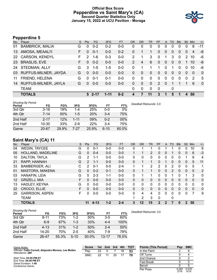#### **Official Box Score Pepperdine vs Saint Mary's (CA) Second Quarter Statistics Only January 15, 2022 at UCU Pavilion - Moraga**



# **Pepperdine 5**

| No.       | Player                 | S. | Pts           | <b>FG</b> | 3FG     | <b>FT</b> | <b>OR</b> | <b>DR</b>   | <b>TR</b> | <b>PF</b>    | A            | TO           | <b>B</b> lk | Stl      | Min      | $+/-$    |
|-----------|------------------------|----|---------------|-----------|---------|-----------|-----------|-------------|-----------|--------------|--------------|--------------|-------------|----------|----------|----------|
| 01        | <b>BAMBRICK, MALIA</b> | G  | $\Omega$      | $0 - 2$   | $0 - 2$ | $0 - 0$   | 0         | 0           | 0         | 0            | 0            | 0            | 0           | $\Omega$ | 8        | $-11$    |
| 13        | AMOSA, MEAALI'I        | F. | $\Omega$      | $0 - 1$   | $0 - 0$ | $0 - 2$   | 0         | 1           | 1         | 0            | $\mathbf{0}$ | 0            | 0           | $\Omega$ | 4        | -6       |
| <b>22</b> | <b>CARSON, KENDYL</b>  | F. | $\mathcal{P}$ | $1 - 6$   | $0 - 3$ | $0 - 0$   | 2         |             | 3         | $\Omega$     | 1            | 3            | $\Omega$    | 2        | 10       | -6       |
| <b>23</b> | <b>BRASLIS, EVE</b>    | F. | $\Omega$      | $0 - 2$   | $0 - 0$ | $0 - 0$   | 2         | 4           | 6         | $\mathbf{0}$ | $\mathbf{0}$ | $\mathbf{0}$ | 0           |          | 10       | -6       |
| 24        | STEDMAN, ALLY          | G  | 3             | $1 - 5$   | $1-5$   | $0-0$     | 0         | 1           |           | 1            | 0            | 1            | 0           | $\Omega$ | 10       | -6       |
| 03        | RUFFUS-MILNER, JAYDA   | G  | $\Omega$      | $0 - 0$   | $0 - 0$ | $0 - 0$   | 0         | $\Omega$    | $\Omega$  | $\Omega$     | $\Omega$     | $\Omega$     | $\Omega$    | $\Omega$ | $\Omega$ | $\Omega$ |
| 11        | FRIEND, HELENA         | G  | $\Omega$      | $0 - 1$   | 0-1     | $0-0$     | 0         | $\Omega$    | $\Omega$  | $\Omega$     | $\mathbf{0}$ | $\Omega$     | $\Omega$    | $\Omega$ | 2        | 5        |
| 14        | RUFFUS-MILNER, JAYLA   | G  | $\Omega$      | $0 - 0$   | $0 - 0$ | $0 - 0$   | 0         | $\Omega$    | $\Omega$  | 2            | $\Omega$     |              |             |          | 6        | $\Omega$ |
|           | <b>TEAM</b>            |    |               |           |         |           | 0         | $\mathbf 0$ | $\Omega$  | $\Omega$     |              | 0            |             |          |          |          |
|           | <b>TOTALS</b>          |    |               | $52 - 17$ | 1-11    | $0 - 2$   |           | 7           | 11        | 3            | 1            | 5            | 1           | 4        | 50       |          |
|           |                        |    |               |           |         |           |           |             |           |              |              |              |             |          |          |          |

| <b>Shooting By Period</b><br>Period | FG        | FG%   | 3FG      | 3FG%       | FT       | FT%   | Deadball Rebounds: 3,0 |
|-------------------------------------|-----------|-------|----------|------------|----------|-------|------------------------|
| 3rd Qtr                             | $3 - 16$  | 19%   | $1 - 4$  | 25%        | 0-0      | 0%    |                        |
| 4th Qtr                             | 7-14      | 50%   | $1-5$    | <b>20%</b> | $3 - 4$  | 75%   |                        |
| 2nd Half                            | $2 - 17$  | 12%   | $1 - 11$ | 09%        | 0-2      | 00%   |                        |
| 2nd Half                            | $10 - 30$ | 33%   | $2-9$    | 22%        | $3 - 4$  | 75%   |                        |
| Game                                | $20 - 67$ | 29.9% | 7-27     | 25.9%      | $6 - 10$ | 60.0% |                        |

# **Saint Mary's (CA) 11**

| No.               | Player                 | S  | Pts           | FG       | 3FG     | <b>FT</b> | <b>OR</b>    | <b>DR</b> | <b>TR</b> | PF           | $\mathsf{A}$ | <b>TO</b> | <b>Blk</b> | Stl          | Min            | $+/-$        |
|-------------------|------------------------|----|---------------|----------|---------|-----------|--------------|-----------|-----------|--------------|--------------|-----------|------------|--------------|----------------|--------------|
| 04                | <b>WEDIN, TAYCEE</b>   | G  | 0             | $0 - 1$  | $0 - 0$ | $0-0$     | 0            |           |           | 0            |              |           | 0          | 0            | 10             | 6            |
| 05                | HOLLAND, MADELINE      | G  | $\mathbf{0}$  | $0 - 4$  | $0 - 0$ | $0 - 0$   |              |           | 2         | 0            | 0            |           | 0          | $\mathbf{0}$ | 6              | $-3$         |
| 10                | DALTON, TAYLA          | G  | 2             | $1 - 1$  | $0 - 0$ | $0-0$     | 0            | 0         | 0         | 0            | 0            | 0         | 0          |              | 9              | 4            |
| 21                | RAPP, HANNAH           | G  | $\mathcal{P}$ | $1 - 1$  | $0 - 0$ | $0-0$     | $\Omega$     |           | 1         | 0            |              | 0         | 0          | $\mathbf{0}$ | 5              | 11           |
| 33                | <b>BAMBERGER, ALI</b>  | С  | 2             | $0 - 1$  | $0 - 0$ | $2 - 4$   | 1            |           | 2         | 2            | $\mathbf{0}$ | 2         | 0          | $\mathbf{0}$ | 5              | 1            |
| 01                | <b>MASTORA, MAKENA</b> | G  | $\mathbf{0}$  | $0 - 2$  | $0 - 1$ | $0 - 0$   | $\mathbf{0}$ |           |           | 0            | $\mathbf{0}$ | 2         | 0          | $\mathbf{0}$ | 5              | 2            |
| 03                | HANAFIN, LEIA          | G  | 5             | $2 - 3$  | $1 - 1$ | $0-0$     | 0            |           | 1         | 0            | 0            |           | 0          | 1            | 3              | $\mathbf{0}$ |
| $12 \overline{ }$ | <b>GRIZELJ, MIA</b>    | F  | $\Omega$      | $0 - 0$  | $0 - 0$ | $0 - 0$   | $\mathbf{0}$ | 0         | 0         | 0            | $\Omega$     | 0         | 0          | $\Omega$     | $\Omega$       | $\mathbf 0$  |
| 13                | HADLEY, KEYNA          | G  | 0             | $0 - 0$  | $0 - 0$ | $0-0$     | 0            | 0         | 0         | 0            | 0            | 0         | 0          | 0            | $\Omega$       | $\mathbf{0}$ |
| 22                | CROCO, ELLIE           | F  | $\Omega$      | $0 - 0$  | $0 - 0$ | $0 - 0$   | $\Omega$     | $\Omega$  | 0         | 0            | $\mathbf{0}$ | 0         | $\Omega$   | $\Omega$     | $\Omega$       | $\mathbf{0}$ |
| 25                | <b>GARRISON, ASPEN</b> | F. | 0             | $0 - 0$  | $0-0$   | $0 - 0$   | $\Omega$     | 4         | 4         | 0            | $\Omega$     | $\Omega$  | 0          | $\Omega$     | $\overline{7}$ | 9            |
|                   | TEAM                   |    |               |          |         |           |              | 2         | 3         | 0            |              | 0         |            |              |                |              |
|                   | <b>TOTALS</b>          |    | 11            | $4 - 13$ | $1 - 2$ | $2 - 4$   | 3            | 12        | 15        | $\mathbf{2}$ | $\mathbf{2}$ |           | 0          | 2            | 50             |              |

| <b>Shooting By Period</b><br>Period | FG       | FG%   | 3FG      | 3FG%  | FT        | FT%   | Deadball Rebounds: 3,0 |
|-------------------------------------|----------|-------|----------|-------|-----------|-------|------------------------|
| 3rd Qtr                             | $8 - 11$ | 73%   | 1-2      | 50%   | $3 - 5$   | 60%   |                        |
| 4th Qtr                             | $6-9$    | 67%   | 1-3      | 33%   | $4 - 4$   | 100%  |                        |
| 2nd Half                            | $4 - 13$ | 31%   | $1 - 2$  | 50%   | $2 - 4$   | 50%   |                        |
| 2nd Half                            | 14-20    | 70%   | $2 - 5$  | 40%   | 7-9       | 78%   |                        |
| Game                                | 26-47    | 55.3% | $5 - 10$ | 50.0% | $13 - 17$ | 76.5% |                        |

| Game Notes:                                                               | <b>Score</b> | 1st | 2nd | - 3rd | 4th | TOT | <b>Points (This Period)</b> | Pep | <b>SMC</b> |
|---------------------------------------------------------------------------|--------------|-----|-----|-------|-----|-----|-----------------------------|-----|------------|
| Officials: Cathi Cornell, Alejandro Morena, Lee Mullen<br>Attendance: 289 | Pep          | 23  |     |       | 18  | 53  | In the Paint                |     |            |
|                                                                           | <b>SMC</b>   | 22  |     | 20    |     | 70  | Off Turns                   |     |            |
| Start Time: 03:05 PM ET                                                   |              |     |     |       |     |     | 2nd Chance                  |     |            |
| End Time: 04:46 PM ET<br>Game Duration: 1:40                              |              |     |     |       |     |     | <b>Fast Break</b>           |     |            |
| Conference Game;                                                          |              |     |     |       |     |     | Bench                       |     |            |

Per Poss

 $\frac{0.263}{2/19}$ 

0.579 5/19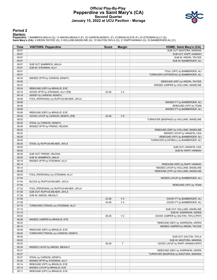#### **Official Play-By-Play Pepperdine vs Saint Mary's (CA) Second Quarter January 15, 2022 at UCU Pavilion - Moraga**



#### **Period 2**

#### **Starters:**

Pepperdine: 1 BAMBRICK,MALIA (G); 13 AMOSA,MEAALI'I (F); 22 CARSON,KENDYL (F); 23 BRASLIS,EVE (F); 24 STEDMAN,ALLY (G);<br>**Saint Mary's (CA)**: 4 WEDIN,TAYCEE (G); 5 HOLLAND,MADELINE (G); 10 DALTON,TAYLA (G); 21 RAPP,HANNAH (

| Time           | <b>VISITORS: Pepperdine</b>                             | <b>Score</b> | <b>Margin</b>  | <b>HOME: Saint Mary's (CA)</b>                                          |
|----------------|---------------------------------------------------------|--------------|----------------|-------------------------------------------------------------------------|
| 09:57          |                                                         |              |                | SUB OUT: MASTORA, MAKENA                                                |
| 09:57          |                                                         |              |                | SUB OUT: RAPP, HANNAH                                                   |
| 09:57          |                                                         |              |                | SUB IN: WEDIN, TAYCEE                                                   |
| 09:57          |                                                         |              |                | SUB IN: BAMBERGER, ALI                                                  |
| 09:57          | SUB OUT: BAMBRICK, MALIA                                |              |                |                                                                         |
| 09:57          | SUB IN: STEDMAN, ALLY                                   |              |                |                                                                         |
| 09:51          |                                                         |              |                | FOUL (OFF) by BAMBERGER, ALI                                            |
| 09:51<br>09:35 |                                                         |              |                | TURNOVER (OFFENSIVE) by BAMBERGER, ALI                                  |
| 09:29          | MISSED 3PTR by CARSON, KENDYL                           |              |                | REBOUND (DEF) by WEDIN, TAYCEE                                          |
| 09:27          |                                                         |              |                | MISSED JUMPER by HOLLAND, MADELINE                                      |
| 09:24          | REBOUND (DEF) by BRASLIS, EVE                           |              |                |                                                                         |
| 09:19          | GOOD! 3PTR by STEDMAN, ALLY [FB]                        | 22-26        | V <sub>4</sub> |                                                                         |
| 09:19          | ASSIST by CARSON, KENDYL                                |              |                |                                                                         |
| 09:08          | FOUL (PERSONAL) by RUFFUS-MILNER, JAYLA                 |              |                |                                                                         |
| 09:08          |                                                         |              |                | MISSED FT by BAMBERGER, ALI                                             |
| 09:08          |                                                         |              |                | REBOUND (OFF) by TEAM                                                   |
| 09:08          |                                                         |              |                | MISSED FT by BAMBERGER, ALI                                             |
| 09:08          | REBOUND (DEF) by BRASLIS, EVE                           |              |                |                                                                         |
| 09:02          | GOOD! LAYUP by CARSON, KENDYL [FB]                      | 22-28        | $V_6$          |                                                                         |
| 08:52          |                                                         |              |                | TURNOVER (BADPASS) by HOLLAND, MADELINE                                 |
| 08:52          | STEAL by CARSON, KENDYL                                 |              |                |                                                                         |
| 08:46          | MISSED 3PTR by FRIEND, HELENA                           |              |                |                                                                         |
| 08:42          |                                                         |              |                | REBOUND (DEF) by HOLLAND, MADELINE                                      |
| 08:22          |                                                         |              |                | MISSED LAYUP by HANAFIN, LEIA                                           |
| 08:20          |                                                         |              |                | REBOUND (OFF) by BAMBERGER, ALI                                         |
| 08:20          |                                                         |              |                | TURNOVER (LOSTBALL) by BAMBERGER, ALI                                   |
| 08:20          | STEAL by RUFFUS-MILNER, JAYLA                           |              |                |                                                                         |
| 08:20          |                                                         |              |                | SUB OUT: HANAFIN, LEIA                                                  |
| 08:20          |                                                         |              |                | SUB IN: RAPP, HANNAH                                                    |
| 08:20          | SUB OUT: FRIEND, HELENA                                 |              |                |                                                                         |
| 08:20          | SUB IN: BAMBRICK, MALIA                                 |              |                |                                                                         |
| 08:18          | MISSED 3PTR by STEDMAN, ALLY                            |              |                |                                                                         |
| 08:14          |                                                         |              |                | REBOUND (DEF) by RAPP, HANNAH                                           |
| 08:12<br>08:09 |                                                         |              |                | MISSED LAYUP by HOLLAND, MADELINE<br>REBOUND (OFF) by HOLLAND, MADELINE |
| 08:03          | FOUL (PERSONAL) by STEDMAN, ALLY                        |              |                |                                                                         |
| 07:54          |                                                         |              |                | MISSED LAYUP by BAMBERGER, ALI                                          |
| 07:54          | BLOCK by RUFFUS-MILNER, JAYLA                           |              |                |                                                                         |
| 07:54          |                                                         |              |                | REBOUND (OFF) by TEAM                                                   |
| 07:32          | FOUL (PERSONAL) by RUFFUS-MILNER, JAYLA                 |              |                |                                                                         |
| 07:26          | SUB OUT: RUFFUS-MILNER, JAYLA                           |              |                |                                                                         |
| 07:26          | SUB IN: AMOSA, MEAALI'I                                 |              |                |                                                                         |
| 07:26          |                                                         | 23-28        | V <sub>5</sub> | GOOD! FT by BAMBERGER, ALI                                              |
| 07:26          |                                                         | 24-28        | V <sub>4</sub> | GOOD! FT by BAMBERGER, ALI                                              |
| 07:10          | TURNOVER (TRAVEL) by STEDMAN, ALLY                      |              |                |                                                                         |
| 07:10          |                                                         |              |                | SUB OUT: HOLLAND, MADELINE                                              |
| 07:10          |                                                         |              |                | SUB IN: GARRISON, ASPEN                                                 |
| 06:52          |                                                         | 26-28        | V <sub>2</sub> | GOOD! JUMPER by DALTON, TAYLA [PNT]                                     |
| 06:28          | MISSED JUMPER by BRASLIS, EVE                           |              |                |                                                                         |
| 06:23          |                                                         |              |                | REBOUND (DEF) by GARRISON, ASPEN                                        |
| 06:13          |                                                         |              |                | MISSED JUMPER by WEDIN, TAYCEE                                          |
| 06:08          | REBOUND (DEF) by BRASLIS, EVE                           |              |                |                                                                         |
| 06:02          | TURNOVER (TRAVEL) by CARSON, KENDYL                     |              |                |                                                                         |
| 06:02          |                                                         |              |                | SUB OUT: DALTON, TAYLA                                                  |
| 06:02          |                                                         |              |                | SUB IN: MASTORA, MAKENA                                                 |
| 05:53          |                                                         | 28-28        | T              | GOOD! LAYUP by RAPP, HANNAH [PNT]                                       |
| 05:34          | MISSED LAYUP by AMOSA, MEAALI'I                         |              |                |                                                                         |
| 05:31          |                                                         |              |                | REBOUND (DEF) by GARRISON, ASPEN                                        |
| 05:27          |                                                         |              |                | TURNOVER (BADPASS) by MASTORA, MAKENA                                   |
| 05:27<br>05:20 | STEAL by CARSON, KENDYL<br>MISSED 3PTR by STEDMAN, ALLY |              |                |                                                                         |
| 05:14          | REBOUND (OFF) by BRASLIS, EVE                           |              |                |                                                                         |
| 05:14          | MISSED LAYUP by BRASLIS, EVE                            |              |                |                                                                         |
| 05:11          | REBOUND (OFF) by BRASLIS, EVE                           |              |                |                                                                         |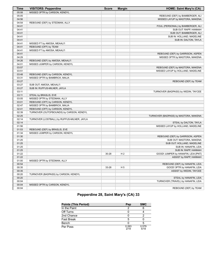| Time  | <b>VISITORS: Pepperdine</b>                 | <b>Score</b> | <b>Margin</b>  | <b>HOME: Saint Mary's (CA)</b>        |
|-------|---------------------------------------------|--------------|----------------|---------------------------------------|
| 05:08 | MISSED 3PTR by CARSON, KENDYL               |              |                |                                       |
| 05:05 |                                             |              |                | REBOUND (DEF) by BAMBERGER, ALI       |
| 04:56 |                                             |              |                | MISSED LAYUP by MASTORA, MAKENA       |
| 04:54 | REBOUND (DEF) by STEDMAN, ALLY              |              |                |                                       |
| 04:41 |                                             |              |                | FOUL (PERSONAL) by BAMBERGER, ALI     |
| 04:41 |                                             |              |                | SUB OUT: RAPP, HANNAH                 |
| 04:41 |                                             |              |                | SUB OUT: BAMBERGER, ALI               |
| 04:41 |                                             |              |                | SUB IN: HOLLAND, MADELINE             |
| 04:41 |                                             |              |                | SUB IN: DALTON, TAYLA                 |
| 04:41 | MISSED FT by AMOSA, MEAALI'I                |              |                |                                       |
| 04:41 | REBOUND (OFF) by TEAM                       |              |                |                                       |
| 04:41 | MISSED FT by AMOSA, MEAALI'I                |              |                |                                       |
| 04:41 |                                             |              |                | REBOUND (DEF) by GARRISON, ASPEN      |
| 04:29 |                                             |              |                | MISSED 3PTR by MASTORA, MAKENA        |
| 04:26 | REBOUND (DEF) by AMOSA, MEAALI'I            |              |                |                                       |
| 04:01 | MISSED JUMPER by CARSON, KENDYL             |              |                |                                       |
| 03:57 |                                             |              |                | REBOUND (DEF) by MASTORA, MAKENA      |
| 03:51 |                                             |              |                | MISSED LAYUP by HOLLAND, MADELINE     |
| 03:48 | REBOUND (DEF) by CARSON, KENDYL             |              |                |                                       |
| 03:31 | MISSED 3PTR by BAMBRICK, MALIA              |              |                |                                       |
| 03:27 |                                             |              |                | REBOUND (DEF) by TEAM                 |
| 03:27 | SUB OUT: AMOSA, MEAALI'I                    |              |                |                                       |
| 03:27 | SUB IN: RUFFUS-MILNER, JAYLA                |              |                |                                       |
| 03:11 |                                             |              |                | TURNOVER (BADPASS) by WEDIN, TAYCEE   |
| 03:11 | STEAL by BRASLIS, EVE                       |              |                |                                       |
| 03:05 | MISSED 3PTR by STEDMAN, ALLY                |              |                |                                       |
| 03:01 | REBOUND (OFF) by CARSON, KENDYL             |              |                |                                       |
| 02:47 | MISSED 3PTR by BAMBRICK, MALIA              |              |                |                                       |
| 02:41 | REBOUND (OFF) by CARSON, KENDYL             |              |                |                                       |
| 02:39 | TURNOVER (OUTOFBOUNDS) by CARSON, KENDYL    |              |                |                                       |
| 02:25 |                                             |              |                | TURNOVER (BADPASS) by MASTORA, MAKENA |
| 02:14 | TURNOVER (LOSTBALL) by RUFFUS-MILNER, JAYLA |              |                |                                       |
| 02:14 |                                             |              |                | STEAL by DALTON, TAYLA                |
| 01:56 |                                             |              |                | MISSED LAYUP by HOLLAND, MADELINE     |
| 01:53 | REBOUND (DEF) by BRASLIS, EVE               |              |                |                                       |
| 01:34 | MISSED JUMPER by CARSON, KENDYL             |              |                |                                       |
| 01:30 |                                             |              |                | REBOUND (DEF) by GARRISON, ASPEN      |
| 01:25 |                                             |              |                | SUB OUT: MASTORA, MAKENA              |
| 01:25 |                                             |              |                | SUB OUT: HOLLAND, MADELINE            |
| 01:25 |                                             |              |                | SUB IN: HANAFIN, LEIA                 |
| 01:25 |                                             |              |                | SUB IN: RAPP, HANNAH                  |
| 01:22 |                                             | 30-28        | H <sub>2</sub> | GOOD! JUMPER by HANAFIN, LEIA [PNT]   |
| 01:22 |                                             |              |                | ASSIST by RAPP, HANNAH                |
| 01:00 | MISSED 3PTR by STEDMAN, ALLY                |              |                |                                       |
| 00:54 |                                             |              |                | REBOUND (DEF) by HANAFIN, LEIA        |
| 00:35 |                                             | 33-28        | H <sub>5</sub> | GOOD! 3PTR by HANAFIN, LEIA           |
| 00:35 |                                             |              |                |                                       |
| 00:20 | TURNOVER (BADPASS) by CARSON, KENDYL        |              |                | ASSIST by WEDIN, TAYCEE               |
| 00:20 |                                             |              |                | STEAL by HANAFIN, LEIA                |
| 00:04 |                                             |              |                | TURNOVER (TRAVEL) by HANAFIN, LEIA    |
| 00:04 |                                             |              |                |                                       |
|       | MISSED 3PTR by CARSON, KENDYL               |              |                |                                       |
| 00:04 |                                             |              |                | REBOUND (DEF) by TEAM                 |

# **Pepperdine 28, Saint Mary's (CA) 33**

| <b>Points (This Period)</b> | Pep           | <b>SMC</b>    |
|-----------------------------|---------------|---------------|
| In the Paint                |               | 6             |
| Off Turns                   |               |               |
| 2nd Chance                  |               |               |
| <b>Fast Break</b>           | 5             |               |
| Bench                       |               |               |
| Per Poss                    | 0.263<br>2/19 | 0.579<br>5/19 |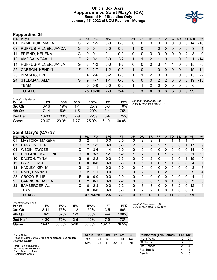### **Official Box Score Pepperdine vs Saint Mary's (CA) Second Half Statistics Only January 15, 2022 at UCU Pavilion - Moraga**



# **Pepperdine 25**

| No. | Player                 | S. | <b>Pts</b>    | FG.      | 3FG     | <b>FT</b> | <b>OR</b> | DR       | TR             | <b>PF</b>      | A              | TO       | <b>Blk</b> | Stl      | <b>Min</b> | $+/-$          |
|-----|------------------------|----|---------------|----------|---------|-----------|-----------|----------|----------------|----------------|----------------|----------|------------|----------|------------|----------------|
| 01  | <b>BAMBRICK, MALIA</b> | G  | 2             | $1 - 5$  | $0 - 3$ | 0-0       | 0         | 0        | 0              | 0              |                | 0        | 0          | 0        | 14         | $-10$          |
| 03  | RUFFUS-MILNER, JAYDA   | G  | $\Omega$      | $0 - 1$  | $0 - 0$ | $0-0$     |           | $\Omega$ | 1              | 0              | $\overline{0}$ | 0        | $\Omega$   | $\Omega$ | 3          | $\overline{1}$ |
| 11  | FRIEND, HELENA         | G  | 0             | $0 - 1$  | $0 - 1$ | $0 - 0$   | 0         | $\Omega$ | 0              | 0              | $\mathbf 0$    | 0        | $\Omega$   | 2        | 8          | $\mathbf 0$    |
| 13  | AMOSA, MEAALI'I        | F. | $\mathcal{P}$ | $0 - 1$  | $0 - 0$ | $2 - 2$   |           |          | 2              | 1              | $\overline{0}$ | 1        | $\Omega$   | $\Omega$ | 11         | $-14$          |
| 14  | RUFFUS-MILNER, JAYLA   | G  | 3             | $1 - 2$  | $0 - 0$ | $1 - 2$   | 0         | 0        | 0              | 3              |                | 1        | 0          | $\Omega$ | 15         | -8             |
|     | 22 CARSON, KENDYL      | F. | 5             | $2 - 7$  | $1 - 2$ | $0 - 0$   |           | $\Omega$ | 1              | 0              | $\overline{0}$ | 0        | $\Omega$   |          | 15         | $-14$          |
| 23  | <b>BRASLIS, EVE</b>    | F  | 4             | $2 - 6$  | $0 - 2$ | $0-0$     |           | 1        | $\overline{2}$ | 3              | $\Omega$       | 1        | $\Omega$   | $\Omega$ | 13         | $-2$           |
| 24  | STEDMAN, ALLY          | G  | 9             | $4 - 7$  | $1 - 1$ | $0-0$     | 0         | $\Omega$ | $\Omega$       | $\overline{2}$ | $\mathcal{P}$  | 3        | $\Omega$   | 6        | 19         | $-13$          |
|     | <b>TEAM</b>            |    | 0             | $0 - 0$  | $0 - 0$ | $0-0$     |           | 1        | 2              | 0              | $\Omega$       | $\Omega$ | $\Omega$   | $\Omega$ | 0          |                |
|     | <b>TOTALS</b>          |    |               | 25 10-30 | $2 - 9$ | $3 - 4$   | 5         | 3        | 8              | 9              | 3              | 6        | 0          | 9        | 99         |                |

| <b>Shooting By Period</b><br>Period | FG        | FG%   | 3FG     | 3FG%  | FT    | FT%   | Deadball Rebounds: 3,0<br>Last FG Half: Pep 4th-01:44 |
|-------------------------------------|-----------|-------|---------|-------|-------|-------|-------------------------------------------------------|
| 3rd Qtr                             | $3 - 16$  | 19%   | $1 - 4$ | 25%   | 0-0   | $0\%$ |                                                       |
| 4th Qtr                             | 7-14      | 50%   | $1-5$   | 20%   | $3-4$ | 75%   |                                                       |
| 2nd Half                            | $10 - 30$ | 33%   | $2-9$   | 22%   | $3-4$ | 75%   |                                                       |
| Game                                | $20 - 67$ | 29.9% | 7-27    | 25.9% | 6-10  | 60.0% |                                                       |

# **Saint Mary's (CA) 37**

| No. | Plaver                 | S  | <b>Pts</b>     | <b>FG</b> | 3FG     | <b>FT</b> | <b>OR</b>    | <b>DR</b> | <b>TR</b> | PF       | A             | <b>TO</b> | <b>Blk</b> | Stl          | Min            | $+/-$          |
|-----|------------------------|----|----------------|-----------|---------|-----------|--------------|-----------|-----------|----------|---------------|-----------|------------|--------------|----------------|----------------|
| 01  | MASTORA, MAKENA        | G  | 2              | 1-1       | $0 - 0$ | $0-0$     | 0            | 3         | 3         |          |               |           |            |              |                | 4              |
| 03  | HANAFIN, LEIA          | G  | 2              | $1 - 2$   | $0 - 0$ | $0 - 0$   | 2            | 0         | 2         | 2        |               | 0         | 0          |              | 17             | 9              |
| 04  | <b>WEDIN, TAYCEE</b>   | G  |                | $3-6$     | $1 - 4$ | $0-0$     | 0            | 0         | 0         | 0        | 0             | 0         | 0          | 0            | 14             | 9              |
| 05  | HOLLAND, MADELINE      | G  | 8              | $3 - 3$   | $1 - 1$ | $1 - 2$   |              | 2         | 3         | 0        |               | 2         | 0          | $\mathbf{0}$ | 11             | 10             |
| 10  | DALTON, TAYLA          | G  | 6              | $2 - 2$   | $0 - 0$ | $2 - 3$   | 0            | 2         | 2         | 0        |               | 2         | 0          |              | 15             | 16             |
| 12  | <b>GRIZELJ, MIA</b>    | F. | 0              | $0 - 0$   | $0 - 0$ | $0 - 0$   | $\mathbf{0}$ |           | 1.        | 0        |               |           | $\Omega$   | $\Omega$     | $\overline{4}$ | 1              |
| 13  | HADLEY, KEYNA          | G  | $\overline{2}$ | $1 - 1$   | $0 - 0$ | $0 - 0$   | 0            | 0         | 0         | 0        | 0             | $\Omega$  | 0          | 0            | 3              | $-3$           |
| 21  | RAPP, HANNAH           | G  | 2              | $1 - 1$   | $0 - 0$ | $0 - 0$   | $\Omega$     | 2         | 2         | $\Omega$ | $\mathcal{P}$ | 3         | $\Omega$   | $\Omega$     | 9              | $\overline{4}$ |
| 22  | CROCO, ELLIE           | F  | 0              | $0 - 0$   | $0 - 0$ | $0 - 0$   | $\Omega$     | 0         | 0         | 0        | $\Omega$      | 0         | 0          | 0            | 4              | -1             |
| 25  | <b>GARRISON, ASPEN</b> | F. | $\overline{2}$ | $0 - 1$   | $0 - 0$ | $2 - 2$   | $\Omega$     | 0         | 0         | 3        | $\mathbf{0}$  |           | $\Omega$   | $\mathbf{0}$ | 3              | $\overline{0}$ |
| 33  | <b>BAMBERGER, ALI</b>  | C  | 6              | $2 - 3$   | $0 - 0$ | $2 - 2$   | $\Omega$     | 3         | 3         | 0        | 0             | 3         | 2          | $\Omega$     | 12             | 11             |
|     | <b>TEAM</b>            |    | 0              | $0 - 0$   | $0 - 0$ | $0 - 0$   | 0            | 2         | 2         | 0        | 0             |           | 0          | 0            | 0              |                |
|     | <b>TOTALS</b>          |    | 37             | $14 - 20$ | $2 - 5$ | $7-9$     | 3            | 15        | 18        | 6        |               | 14        | 3          | 3            | 99             |                |

*Deadball Rebounds:* 3,0 *Last FG Half:* SMC 4th-00:30

| <b>Shooting By Period</b><br>Period | FG        | FG%   | 3FG     | 3FG%     | FT        | FT%   |
|-------------------------------------|-----------|-------|---------|----------|-----------|-------|
| 3rd Otr                             | 8-11      | 73%   | $1 - 2$ | 50%      | 3-5       | 60%   |
| 4th Otr                             | 6-9       | 67%   | $1 - 3$ | 33%      | 4-4       | 100%  |
| 2nd Half                            | $14 - 20$ | 70%   | $2-5$   | 40%      | 7-9       | 78%   |
| Game                                | 26-47     | 55.3% | $5-10$  | $50.0\%$ | $13 - 17$ | 76.5% |

| Game Notes:                                                               | <b>Score</b> | 1st | 2nd | 3rd | 4th | <b>- тот</b> | <b>Points from (This Period)</b> |    | Pep SMC |
|---------------------------------------------------------------------------|--------------|-----|-----|-----|-----|--------------|----------------------------------|----|---------|
| Officials: Cathi Cornell, Alejandro Morena, Lee Mullen<br>Attendance: 289 | Pep          | 23  |     |     |     | 53           | In the Paint                     | 12 | 24      |
|                                                                           | <b>SMC</b>   | 22  |     | 20  |     | 70           | Off Turns                        |    |         |
| Start Time: 03:05 PM ET                                                   |              |     |     |     |     |              | 2nd Chance                       |    |         |
| End Time: 04:46 PM ET<br>Game Duration: 1:40                              |              |     |     |     |     |              | <b>Fast Break</b>                |    |         |
| Conference Game:                                                          |              |     |     |     |     |              | Bench                            |    |         |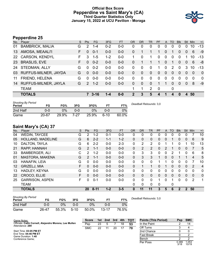#### **Official Box Score Pepperdine vs Saint Mary's (CA) Third Quarter Statistics Only January 15, 2022 at UCU Pavilion - Moraga**



# **Pepperdine 25**

| No.       | Player                 | S. | Pts           | <b>FG</b>   | 3FG     | <b>FT</b> | <b>OR</b> | <b>DR</b> | <b>TR</b>    | <b>PF</b>   | A            | TO             | <b>B</b> lk | <b>Stl</b> | Min      | $+/-$          |
|-----------|------------------------|----|---------------|-------------|---------|-----------|-----------|-----------|--------------|-------------|--------------|----------------|-------------|------------|----------|----------------|
| 01        | <b>BAMBRICK, MALIA</b> | G  | 2             | $1 - 4$     | $0 - 2$ | 0-0       | 0         | 0         | 0            | 0           | 0            | 0              | 0           | $\Omega$   | 10       | $-13$          |
| 13        | AMOSA, MEAALI'I        | F. | $\Omega$      | $0 - 1$     | $0-0$   | $0 - 0$   | 0         | 1         |              | 1           | $\Omega$     | 1              | 0           | $\Omega$   | 6        | $-9$           |
| <b>22</b> | <b>CARSON, KENDYL</b>  | F. | 3             | $1 - 5$     | $1 - 2$ | $0 - 0$   |           | 0         |              | 0           | 0            | 0              | 0           |            | 10       | $-13$          |
| 23        | <b>BRASLIS, EVE</b>    | F. | $\Omega$      | $0 - 2$     | $0 - 0$ | $0-0$     | 0         |           |              | 1           | $\mathbf{0}$ | 1              | $\Omega$    | $\Omega$   | 6        | -8             |
| 24        | STEDMAN, ALLY          | G  | $\Omega$      | $0 - 2$     | $0-0$   | $0-0$     | 0         | $\Omega$  | $\mathbf{0}$ | 1           | 0            | 2              | $\Omega$    | 3          | 10       | $-13$          |
| 03        | RUFFUS-MILNER, JAYDA   | G  | $\Omega$      | $0 - 0$     | $0 - 0$ | $0 - 0$   | 0         | $\Omega$  | $\mathbf{0}$ | $\Omega$    | 0            | $\overline{0}$ | $\Omega$    | $\Omega$   | $\Omega$ | $\overline{0}$ |
| 11        | FRIEND, HELENA         | G  | $\Omega$      | $0 - 0$     | $0 - 0$ | $0 - 0$   | 0         | $\Omega$  | $\Omega$     | 0           | $\mathbf{0}$ | $\Omega$       | 0           | $\Omega$   | $\Omega$ | $\Omega$       |
| 14        | RUFFUS-MILNER, JAYLA   | G  | $\mathcal{P}$ | $1 - 2$     | $0 - 0$ | $0 - 0$   | 0         | $\Omega$  | $\Omega$     |             |              | $\Omega$       | 0           | $\Omega$   | 8        | $-9$           |
|           | <b>TEAM</b>            |    |               |             |         |           |           | 1         | 2            | $\mathbf 0$ |              | 0              |             |            |          |                |
|           | <b>TOTALS</b>          |    |               | $7 \, 3-16$ | $1 - 4$ | $0 - 0$   | 2         | 3         | 5            | 4           |              | 4              | $\bf{0}$    | 4          | 50       |                |
|           |                        |    |               |             |         |           |           |           |              |             |              |                |             |            |          |                |

| <b>Shooting By Period</b><br>Period | FG    | FG%   | 3FG  | 3FG%  |        | FT%   | Deadball Rebounds: 3,0 |
|-------------------------------------|-------|-------|------|-------|--------|-------|------------------------|
| 2nd Half                            | 0-0   | 0%    | 0-0  | $0\%$ | 0-0    | 0%    |                        |
| Game                                | 20-67 | 29.9% | 7-27 | 25.9% | $6-10$ | 60.0% |                        |

# **Saint Mary's (CA) 37**

| No.               | Plaver                 | S | Pts      | <b>FG</b> | 3FG     | <b>FT</b> | <b>OR</b> | <b>DR</b> | <b>TR</b>      | PF | $\mathsf{A}$ | TO       | <b>Blk</b>   | <b>Stl</b>   | Min            | $+/-$          |
|-------------------|------------------------|---|----------|-----------|---------|-----------|-----------|-----------|----------------|----|--------------|----------|--------------|--------------|----------------|----------------|
| 04                | <b>WEDIN, TAYCEE</b>   | G | 2        | $1 - 2$   | $0 - 1$ | $0-0$     | 0         | 0         | 0              | 0  | 0            | 0        | 0            | 0            |                | 10             |
| 05                | HOLLAND, MADELINE      | G | 6        | $2 - 2$   | $1 - 1$ | $1 - 2$   | 0         | 0         | $\mathbf{0}$   | 0  | $\mathbf{0}$ |          | 0            | $\Omega$     | 6              | 9              |
| 10                | DALTON, TAYLA          | G | 6        | $2 - 2$   | $0 - 0$ | $2 - 3$   | 0         | 2         | 2              | 0  |              |          | 0            |              | 10             | 13             |
| 21                | RAPP, HANNAH           | G | 2        | $1 - 1$   | $0 - 0$ | $0 - 0$   | $\Omega$  | 2         | $\overline{2}$ | 0  | 2            |          | 0            | $\mathbf{0}$ | 7              | 5              |
| 33                | <b>BAMBERGER, ALI</b>  | С | 2        | $1 - 2$   | $0 - 0$ | $0-0$     | 0         | 3         | 3              | 0  | 0            | 2        |              | 0            | 6              | 8              |
| 01                | <b>MASTORA, MAKENA</b> | G | 2        | $1 - 1$   | $0 - 0$ | $0 - 0$   | 0         | 3         | 3              |    | 0            | 0        |              |              | $\overline{4}$ | 5              |
| 03                | HANAFIN, LEIA          | G | $\Omega$ | $0-0$     | $0 - 0$ | $0-0$     | 0         | 0         | 0              |    |              | $\Omega$ | 0            | 0            |                | 10             |
| $12 \overline{ }$ | <b>GRIZELJ, MIA</b>    | F | $\Omega$ | $0 - 0$   | $0 - 0$ | $0 - 0$   | 0         |           | $\mathbf{1}$   | 0  |              | $\Omega$ | $\Omega$     | $\Omega$     | 2              | $\overline{4}$ |
| 13                | HADLEY, KEYNA          | G | $\Omega$ | $0 - 0$   | $0 - 0$ | $0-0$     | 0         | 0         | 0              | 0  | 0            | 0        | 0            | 0            | 0              | $\mathbf{0}$   |
| 22                | CROCO, ELLIE           | F | 0        | $0 - 0$   | $0 - 0$ | $0 - 0$   | $\Omega$  | 0         | $\mathbf{0}$   | 0  | $\mathbf{0}$ | $\Omega$ | $\Omega$     | $\Omega$     | $\Omega$       | $\mathbf{0}$   |
| 25                | <b>GARRISON, ASPEN</b> | F | 0        | $0 - 1$   | $0 - 0$ | $0-0$     | 0         | 0         | $\mathbf{0}$   |    | 0            |          | 0            | 0            | $\overline{2}$ | 1              |
|                   | <b>TEAM</b>            |   |          |           |         |           | 0         | 0         | $\mathbf{0}$   | 0  |              | 0        |              |              |                |                |
|                   | <b>TOTALS</b>          |   | 20       | $8 - 11$  | $1 - 2$ | $3 - 5$   | 0         | 11        | 11             | 3  | 5            | 6        | $\mathbf{2}$ | 2            | 50             |                |

| <b>Shooting By Period</b><br>Period | FG    | FG%   | 3FG      | 3FG%  |           | FT%   | Deadball Rebounds: 3,0 |
|-------------------------------------|-------|-------|----------|-------|-----------|-------|------------------------|
| 2nd Half                            | 0-0   | 0%    | 0-0      | $0\%$ | 0-0       | 0%    |                        |
| Game                                | 26-47 | 55.3% | $5 - 10$ | 50.0% | $13 - 17$ | 76.5% |                        |

| Game Notes:                                                               | <b>Score</b> |    |    |    | 1st 2nd 3rd 4th TOT | <b>Points (This Period)</b> | Pep           | <b>SMC</b>     |
|---------------------------------------------------------------------------|--------------|----|----|----|---------------------|-----------------------------|---------------|----------------|
| Officials: Cathi Cornell, Alejandro Morena, Lee Mullen<br>Attendance: 289 | Pep          | 23 |    | 18 | 53                  | In the Paint                |               | 14             |
|                                                                           | <b>SMC</b>   | 22 | 20 |    | 70                  | Off Turns                   |               |                |
| Start Time: 03:05 PM ET                                                   |              |    |    |    |                     | 2nd Chance                  |               |                |
| End Time: 04:46 PM ET<br>Game Duration: 1:40                              |              |    |    |    |                     | <b>Fast Break</b>           |               |                |
| Conference Game;                                                          |              |    |    |    |                     | Bench                       |               |                |
|                                                                           |              |    |    |    |                     | Per Poss                    | 0.389<br>3/18 | 1.053<br>10/19 |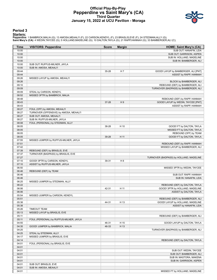#### **Official Play-By-Play Pepperdine vs Saint Mary's (CA) Third Quarter January 15, 2022 at UCU Pavilion - Moraga**



#### **Period 3**

<mark>Starters:</mark><br>Pepperdine: 1 BAMBRICK,MALIA (G); 13 AMOSA,MEAALI'I (F); 22 CARSON,KENDYL (F); 23 BRASLIS,EVE (F); 24 STEDMAN,ALLY (G);<br>Saint **Mary's (CA)**: 4 WEDIN,TAYCEE (G); 5 HOLLAND,MADELINE (G); 10 DALTON,TAYLA (G); 21 R

| Time           | <b>VISITORS: Pepperdine</b>             | <b>Score</b> | <b>Margin</b>  | <b>HOME: Saint Mary's (CA)</b>                                      |
|----------------|-----------------------------------------|--------------|----------------|---------------------------------------------------------------------|
| 10:00          |                                         |              |                | SUB OUT: HANAFIN, LEIA                                              |
| 10:00          |                                         |              |                | SUB OUT: GARRISON, ASPEN                                            |
| 10:00          |                                         |              |                | SUB IN: HOLLAND, MADELINE                                           |
| 10:00          |                                         |              |                | SUB IN: BAMBERGER, ALI                                              |
| 10:00          | SUB OUT: RUFFUS-MILNER, JAYLA           |              |                |                                                                     |
| 10:00          | SUB IN: AMOSA, MEAALI'I                 |              |                |                                                                     |
| 09:44          |                                         | 35-28        | H <sub>7</sub> | GOOD! LAYUP by BAMBERGER, ALI [PNT]                                 |
| 09:44          |                                         |              |                | ASSIST by RAPP, HANNAH                                              |
| 09:26          | MISSED LAYUP by AMOSA, MEAALI'I         |              |                |                                                                     |
| 09:26          |                                         |              |                | BLOCK by BAMBERGER, ALI                                             |
| 09:10          |                                         |              |                | REBOUND (DEF) by BAMBERGER, ALI                                     |
| 09:09          |                                         |              |                | TURNOVER (BADPASS) by BAMBERGER, ALI                                |
| 09:09          | STEAL by CARSON, KENDYL                 |              |                |                                                                     |
| 08:52          | MISSED 3PTR by BAMBRICK, MALIA          |              |                |                                                                     |
| 08:48<br>08:43 |                                         | 37-28        | H9             | REBOUND (DEF) by RAPP, HANNAH<br>GOOD! LAYUP by WEDIN, TAYCEE [PNT] |
| 08:43          |                                         |              |                | ASSIST by RAPP, HANNAH                                              |
| 08:27          | FOUL (OFF) by AMOSA, MEAALI'I           |              |                |                                                                     |
| 08:27          | TURNOVER (OFFENSIVE) by AMOSA, MEAALI'I |              |                |                                                                     |
| 08:27          | SUB OUT: AMOSA, MEAALI'I                |              |                |                                                                     |
| 08:27          | SUB IN: RUFFUS-MILNER, JAYLA            |              |                |                                                                     |
| 08:08          | FOUL (PERSONAL) by STEDMAN, ALLY        |              |                |                                                                     |
| 08:05          |                                         | 38-28        | H 10           | GOOD! FT by DALTON, TAYLA                                           |
| 08:05          |                                         |              |                | MISSED FT by DALTON, TAYLA                                          |
| 08:05          |                                         |              |                | REBOUND (OFF) by TEAM                                               |
| 08:05          |                                         | 39-28        | H 11           | GOOD! FT by DALTON, TAYLA                                           |
| 07:55          | MISSED JUMPER by RUFFUS-MILNER, JAYLA   |              |                |                                                                     |
| 07:51          |                                         |              |                | REBOUND (DEF) by RAPP, HANNAH                                       |
| 07:42          |                                         |              |                | MISSED LAYUP by BAMBERGER, ALI                                      |
| 07:39          | REBOUND (DEF) by BRASLIS, EVE           |              |                |                                                                     |
| 07:37          | TURNOVER (BADPASS) by BRASLIS, EVE      |              |                |                                                                     |
| 07:27          |                                         |              |                | TURNOVER (BADPASS) by HOLLAND, MADELINE                             |
| 07:10          | GOOD! 3PTR by CARSON, KENDYL            | 39-31        | H <sub>8</sub> |                                                                     |
| 07:10          | ASSIST by RUFFUS-MILNER, JAYLA          |              |                |                                                                     |
| 06:50          |                                         |              |                | MISSED 3PTR by WEDIN, TAYCEE                                        |
| 06:46          | REBOUND (DEF) by TEAM                   |              |                |                                                                     |
| 06:46          |                                         |              |                | SUB OUT: RAPP, HANNAH                                               |
| 06:46          |                                         |              |                | SUB IN: HANAFIN, LEIA                                               |
| 06:25          | MISSED JUMPER by STEDMAN, ALLY          |              |                |                                                                     |
| 06:22          |                                         |              |                | REBOUND (DEF) by DALTON, TAYLA                                      |
| 06:06          |                                         | 42-31        | H 11           | GOOD! 3PTR by HOLLAND, MADELINE                                     |
| 06:06          |                                         |              |                | ASSIST by DALTON, TAYLA                                             |
| 05:54          | MISSED JUMPER by CARSON, KENDYL         |              |                |                                                                     |
| 05:51          |                                         |              |                | REBOUND (DEF) by BAMBERGER, ALI                                     |
| 05:38<br>05:38 |                                         | 44-31        | H 13           | GOOD! LAYUP by HOLLAND, MADELINE<br>ASSIST by HANAFIN, LEIA         |
| 05:26          | <b>TIMEOUT TEAM</b>                     |              |                |                                                                     |
| 05:13          | MISSED LAYUP by BRASLIS, EVE            |              |                |                                                                     |
| 05:11          |                                         |              |                | REBOUND (DEF) by BAMBERGER, ALI                                     |
| 05:11          | FOUL (PERSONAL) by RUFFUS-MILNER, JAYLA |              |                |                                                                     |
| 04:55          |                                         | 46-31        | H 15           | GOOD! LAYUP by DALTON, TAYLA                                        |
| 04:35          | GOOD! JUMPER by BAMBRICK, MALIA         | 46-33        | H 13           |                                                                     |
| 04:25          |                                         |              |                | TURNOVER (BADPASS) by BAMBERGER, ALI                                |
| 04:25          | STEAL by STEDMAN, ALLY                  |              |                |                                                                     |
| 04:17          | MISSED JUMPER by BRASLIS, EVE           |              |                |                                                                     |
| 04:14          |                                         |              |                | REBOUND (DEF) by DALTON, TAYLA                                      |
| 04:01          | FOUL (PERSONAL) by BRASLIS, EVE         |              |                |                                                                     |
| 04:01          |                                         |              |                |                                                                     |
| 04:01          |                                         |              |                | SUB OUT: WEDIN, TAYCEE                                              |
| 04:01          |                                         |              |                | SUB OUT: BAMBERGER, ALI                                             |
| 04:01          |                                         |              |                | SUB IN: MASTORA, MAKENA                                             |
| 04:01          |                                         |              |                | SUB IN: GARRISON, ASPEN                                             |
| 04:01          | SUB OUT: BRASLIS, EVE                   |              |                |                                                                     |
| 04:01          | SUB IN: AMOSA, MEAALI'I                 |              |                |                                                                     |
| 04:01          |                                         |              |                | MISSED FT by HOLLAND, MADELINE                                      |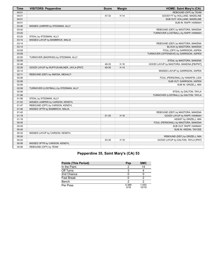| <b>Time</b> | <b>VISITORS: Pepperdine</b>               | <b>Score</b> | <b>Margin</b> | <b>HOME: Saint Mary's (CA)</b>          |
|-------------|-------------------------------------------|--------------|---------------|-----------------------------------------|
| 04:01       |                                           |              |               | REBOUND (OFF) by TEAM                   |
| 04:01       |                                           | 47-33        | H 14          | GOOD! FT by HOLLAND, MADELINE           |
| 04:01       |                                           |              |               | SUB OUT: HOLLAND, MADELINE              |
| 04:01       |                                           |              |               | SUB IN: RAPP, HANNAH                    |
| 03:46       | MISSED JUMPER by STEDMAN, ALLY            |              |               |                                         |
| 03:42       |                                           |              |               | REBOUND (DEF) by MASTORA, MAKENA        |
| 03:20       |                                           |              |               | TURNOVER (LOSTBALL) by RAPP, HANNAH     |
| 03:20       | STEAL by STEDMAN, ALLY                    |              |               |                                         |
| 03:14       | MISSED LAYUP by BAMBRICK, MALIA           |              |               |                                         |
| 03:14       |                                           |              |               | REBOUND (DEF) by MASTORA, MAKENA        |
| 03:14       |                                           |              |               | BLOCK by MASTORA, MAKENA                |
| 03:09       |                                           |              |               | FOUL (OFF) by GARRISON, ASPEN           |
| 03:09       |                                           |              |               | TURNOVER (OFFENSIVE) by GARRISON, ASPEN |
| 02:55       | TURNOVER (BADPASS) by STEDMAN, ALLY       |              |               |                                         |
| 02:55       |                                           |              |               | STEAL by MASTORA, MAKENA                |
| 02:48       |                                           | 49-33        | H 16          | GOOD! LAYUP by MASTORA, MAKENA [FB/PNT] |
| 02:26       | GOOD! LAYUP by RUFFUS-MILNER, JAYLA [PNT] | 49-35        | H 14          |                                         |
| 02:14       |                                           |              |               | MISSED LAYUP by GARRISON, ASPEN         |
| 02:11       | REBOUND (DEF) by AMOSA, MEAALI'I          |              |               |                                         |
| 02:06       |                                           |              |               | FOUL (PERSONAL) by HANAFIN, LEIA        |
| 02:06       |                                           |              |               | SUB OUT: GARRISON, ASPEN                |
| 02:06       |                                           |              |               | SUB IN: GRIZELJ, MIA                    |
| 02:06       | TURNOVER (LOSTBALL) by STEDMAN, ALLY      |              |               |                                         |
| 02:06       |                                           |              |               | STEAL by DALTON, TAYLA                  |
| 01:56       |                                           |              |               | TURNOVER (LOSTBALL) by DALTON, TAYLA    |
| 01:56       | STEAL by STEDMAN, ALLY                    |              |               |                                         |
| 01:52       | MISSED JUMPER by CARSON, KENDYL           |              |               |                                         |
| 01:47       | REBOUND (OFF) by CARSON, KENDYL           |              |               |                                         |
| 01:46       | MISSED 3PTR by BAMBRICK, MALIA            |              |               |                                         |
| 01:42       |                                           |              |               | REBOUND (DEF) by MASTORA, MAKENA        |
| 01:18       |                                           | 51-35        | H 16          | GOOD! LAYUP by RAPP, HANNAH             |
| 01:18       |                                           |              |               | ASSIST by GRIZELJ, MIA                  |
| 00:45       |                                           |              |               | FOUL (PERSONAL) by MASTORA, MAKENA      |
| 00:45       |                                           |              |               | SUB OUT: RAPP, HANNAH                   |
| 00:45       |                                           |              |               | SUB IN: WEDIN, TAYCEE                   |
| 00:32       | MISSED LAYUP by CARSON, KENDYL            |              |               |                                         |
| 00:24       |                                           |              |               | REBOUND (DEF) by GRIZELJ, MIA           |
| 00:22       |                                           | 53-35        | H 18          | GOOD! LAYUP by DALTON, TAYLA [PNT]      |
| 00:06       | MISSED 3PTR by CARSON, KENDYL             |              |               |                                         |
| 00:06       | REBOUND (OFF) by TEAM                     |              |               |                                         |

# **Pepperdine 35, Saint Mary's (CA) 53**

| <b>Points (This Period)</b> | Pep           | <b>SMC</b>     |
|-----------------------------|---------------|----------------|
| In the Paint                |               | 14             |
| Off Turns                   |               |                |
| 2nd Chance                  |               |                |
| <b>Fast Break</b>           |               |                |
| Bench                       |               |                |
| Per Poss                    | 0.389<br>3/18 | 1.053<br>10/19 |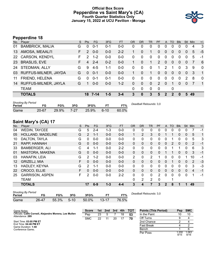#### **Official Box Score Pepperdine vs Saint Mary's (CA) Fourth Quarter Statistics Only January 15, 2022 at UCU Pavilion - Moraga**



# **Pepperdine 18**

| No.       | Player                 | S  | Pts           | <b>FG</b> | 3FG     | <b>FT</b> | <b>OR</b> | <b>DR</b> | <b>TR</b> | PF            | $\mathsf{A}$ | TO           | <b>Blk</b> | <b>Stl</b>            | Min | $+/-$          |
|-----------|------------------------|----|---------------|-----------|---------|-----------|-----------|-----------|-----------|---------------|--------------|--------------|------------|-----------------------|-----|----------------|
| 01        | <b>BAMBRICK, MALIA</b> | G  | $\Omega$      | $0 - 1$   | 0-1     | 0-0       | 0         | 0         | 0         | 0             | 0            | 0            | 0          | 0                     | 4   | 3              |
| 13        | AMOSA, MEAALI'I        | F. | 2             | $0 - 0$   | $0 - 0$ | $2 - 2$   |           | $\Omega$  | 1         | 0             | $\mathbf{0}$ | 0            | 0          | $\Omega$              | 5   | $-5$           |
| <b>22</b> | <b>CARSON, KENDYL</b>  | F. | $\mathcal{P}$ | $1 - 2$   | $0-0$   | $0 - 0$   | 0         | 0         | 0         | $\Omega$      | 0            | 0            | 0          | $\Omega$              | 5   | -1             |
| 23        | <b>BRASLIS, EVE</b>    | F. | 4             | $2 - 4$   | $0 - 2$ | $0 - 0$   |           | $\Omega$  | 1         | 2             | $\mathbf{0}$ | $\mathbf{0}$ | 0          | $\Omega$              | 7   | 6              |
| 24        | STEDMAN, ALLY          | G  | 9             | $4 - 5$   | $1 - 1$ | $0-0$     | 0         | $\Omega$  | 0         | 1             | 2            | 1            | $\Omega$   | 3                     | 9   | 0              |
| 03        | RUFFUS-MILNER, JAYDA   | G  | $\Omega$      | $0 - 1$   | $0 - 0$ | $0 - 0$   | 1         | $\Omega$  | 1         | $\Omega$      | $\mathbf{0}$ | $\Omega$     | 0          | $\Omega$              | 3   | $\mathbf{1}$   |
| 11        | FRIEND, HELENA         | G  | $\Omega$      | $0 - 1$   | 0-1     | $0 - 0$   | 0         | 0         | 0         | $\Omega$      | 0            | 0            | 0          | $\mathbf{2}^{\prime}$ | 8   | $\mathbf 0$    |
| 14        | RUFFUS-MILNER, JAYLA   | G  |               | $0 - 0$   | $0 - 0$ | $1 - 2$   | 0         | $\Omega$  | $\Omega$  | $\mathcal{P}$ | $\Omega$     | 1            | $\Omega$   | $\Omega$              | 7   | $\overline{1}$ |
|           | <b>TEAM</b>            |    |               |           |         |           | 0         | 0         | 0         | $\Omega$      |              | 0            |            |                       |     |                |
|           | <b>TOTALS</b>          |    |               | 18 7-14   | $1 - 5$ | $3 - 4$   | 3         | $\bf{0}$  | 3         | 5             | $\mathbf{2}$ | $\mathbf 2$  | 0          | 5                     | 49  |                |
|           | Shooting By Period     |    |               |           |         |           |           |           |           |               |              |              |            |                       |     |                |

| <b>SHOOTING</b> Dy Feriou<br>Period |       | FG%   | 3FG      | 3FG%  |        | FT%   | Deadball Rebounds: 3,0 |
|-------------------------------------|-------|-------|----------|-------|--------|-------|------------------------|
| Game                                | 20-67 | 29.9% | $7 - 27$ | 25.9% | $6-10$ | 60.0% |                        |

# **Saint Mary's (CA) 17**

| No. | Plaver                 | S | <b>Pts</b>     | <b>FG</b> | 3FG     | <b>FT</b> | <b>OR</b> | <b>DR</b>    | TR | PF       | $\mathsf{A}$ | <b>TO</b>    | <b>Blk</b> | Stl          | Min | $+/-$ |
|-----|------------------------|---|----------------|-----------|---------|-----------|-----------|--------------|----|----------|--------------|--------------|------------|--------------|-----|-------|
| 04  | WEDIN, TAYCEE          | G | 5              | $2 - 4$   | $1 - 3$ | $0-0$     | 0         | 0            | 0  | 0        | 0            | 0            | 0          | 0            |     | $-1$  |
| 05  | HOLLAND, MADELINE      | G | $\overline{2}$ | $1 - 1$   | $0 - 0$ | $0 - 0$   | 1         | 2            | 3  | 0        |              |              | 0          | $\mathbf{0}$ | 5   | 1     |
| 10  | DALTON, TAYLA          | G | 0              | $0 - 0$   | $0 - 0$ | $0-0$     | 0         | 0            | 0  | 0        | 0            |              | 0          | 0            | 5   | 3     |
| 21  | RAPP, HANNAH           | G | $\Omega$       | $0 - 0$   | $0 - 0$ | $0 - 0$   | $\Omega$  | $\Omega$     | 0  | 0        | 0            | 2            | $\Omega$   | $\mathbf{0}$ | 2   | $-1$  |
| 33  | <b>BAMBERGER, ALI</b>  | С | 4              | $1 - 1$   | $0 - 0$ | $2 - 2$   | 0         | $\Omega$     | 0  | $\Omega$ | $\Omega$     |              | 1          | 0            | 6   | 3     |
| 01  | <b>MASTORA, MAKENA</b> | G | 0              | $0 - 0$   | $0 - 0$ | $0 - 0$   | 0         | $\mathbf{0}$ | 0  | 0        |              |              | 0          | $\mathbf{0}$ | 3   | $-1$  |
| 03  | HANAFIN, LEIA          | G | 2              | $1 - 2$   | $0 - 0$ | $0-0$     | 2         | $\mathbf{0}$ | 2  |          | 0            | 0            | 0          |              | 10  | $-1$  |
| 12  | GRIZELJ, MIA           | F | 0              | $0 - 0$   | $0 - 0$ | $0 - 0$   | $\Omega$  | $\Omega$     | 0  | 0        | $\mathbf{0}$ |              | 0          | $\Omega$     | 2   | $-3$  |
| 13  | HADLEY, KEYNA          | G | 2              | $1 - 1$   | $0 - 0$ | $0-0$     | 0         | $\Omega$     | 0  | 0        | 0            | 0            | $\Omega$   | 0            | 3   | -3    |
| 22  | CROCO, ELLIE           | F | $\Omega$       | $0 - 0$   | $0 - 0$ | $0 - 0$   | $\Omega$  | $\Omega$     | 0  | $\Omega$ | $\mathbf{0}$ | 0            | $\Omega$   | $\Omega$     | 4   | $-1$  |
| 25  | <b>GARRISON, ASPEN</b> | F | 2              | $0 - 0$   | $0-0$   | $2 - 2$   | 0         | $\mathbf{0}$ | 0  | 2        | $\mathbf{0}$ | $\mathbf{0}$ | $\Omega$   | $\mathbf{0}$ |     | $-1$  |
|     | <b>TEAM</b>            |   |                |           |         |           | 0         | 2            | 2  | 0        |              |              |            |              |     |       |
|     | <b>TOTALS</b>          |   | 17             | $6 - 9$   | $1 - 3$ | $4 - 4$   | 3         | 4            | 7  | 3        | $\mathbf{2}$ | 8            |            | 1            | 49  |       |

| <b>Shooting By Period</b><br>Period | FG    | FG%   | 3FG    | 3FG%  |           | FT%   | Deadball Rebounds: 3,0 |
|-------------------------------------|-------|-------|--------|-------|-----------|-------|------------------------|
| Game                                | 26-47 | 55.3% | $5-10$ | 50.0% | $13 - 17$ | 76.5% |                        |

| Game Notes:                                                               | <b>Score</b> | 1st | 2nd | 3rd | 4th | <b>TOT</b> | <b>Points (This Period)</b> | Pep          | <b>SMC</b>    |
|---------------------------------------------------------------------------|--------------|-----|-----|-----|-----|------------|-----------------------------|--------------|---------------|
| Officials: Cathi Cornell, Alejandro Morena, Lee Mullen<br>Attendance: 289 | Pep          | 23  |     |     |     | 53         | In the Paint                |              | 10            |
|                                                                           | <b>SMC</b>   | 22  |     | 20  |     | 70         | Off Turns                   |              |               |
| Start Time: 03:05 PM ET                                                   |              |     |     |     |     |            | 2nd Chance                  |              |               |
| End Time: 04:46 PM ET<br>Game Duration: 1:40                              |              |     |     |     |     |            | <b>Fast Break</b>           |              |               |
| Conference Game:                                                          |              |     |     |     |     |            | Bench                       |              |               |
|                                                                           |              |     |     |     |     |            | Per Poss                    | .200<br>9/15 | 1.063<br>8/16 |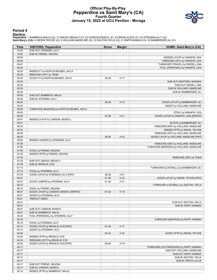#### **Official Play-By-Play Pepperdine vs Saint Mary's (CA) Fourth Quarter January 15, 2022 at UCU Pavilion - Moraga**



#### **Period 4**

#### **Starters:**

Pepperdine: 1 BAMBRICK,MALIA (G); 13 AMOSA,MEAALI'I (F); 22 CARSON,KENDYL (F); 23 BRASLIS,EVE (F); 24 STEDMAN,ALLY (G);<br>**Saint Mary's (CA)**: 4 WEDIN,TAYCEE (G); 5 HOLLAND,MADELINE (G); 10 DALTON,TAYLA (G); 21 RAPP,HANNAH (

| Time           | <b>VISITORS: Pepperdine</b>                                       | <b>Score</b> | <b>Margin</b> | <b>HOME: Saint Mary's (CA)</b>          |
|----------------|-------------------------------------------------------------------|--------------|---------------|-----------------------------------------|
| 10:00          | SUB OUT: STEDMAN, ALLY                                            |              |               |                                         |
| 10:00          | SUB IN: FRIEND, HELENA                                            |              |               |                                         |
| 09:52          |                                                                   |              |               | MISSED LAYUP by HANAFIN, LEIA           |
| 09:49          |                                                                   |              |               | REBOUND (OFF) by HANAFIN, LEIA          |
| 09:47          |                                                                   |              |               | TURNOVER (TRAVEL) by GRIZELJ, MIA       |
| 09:30          |                                                                   |              |               | FOUL (PERSONAL) by HANAFIN, LEIA        |
| 09:30          | MISSED FT by RUFFUS-MILNER, JAYLA                                 |              |               |                                         |
| 09:30          | REBOUND (OFF) by TEAM                                             |              |               |                                         |
| 09:30          | GOOD! FT by RUFFUS-MILNER, JAYLA                                  | 53-36        | H 17          |                                         |
| 09:30          |                                                                   |              |               | SUB OUT: MASTORA, MAKENA                |
| 09:30          |                                                                   |              |               | SUB OUT: GRIZELJ, MIA                   |
| 09:30          |                                                                   |              |               | SUB IN: HOLLAND, MADELINE               |
| 09:30          |                                                                   |              |               | SUB IN: BAMBERGER, ALI                  |
| 09:30          | SUB OUT: BAMBRICK, MALIA                                          |              |               |                                         |
| 09:30<br>09:22 | SUB IN: STEDMAN, ALLY                                             |              |               |                                         |
| 09:22          |                                                                   | 55-36        | H 19          | GOOD! LAYUP by BAMBERGER, ALI           |
| 09:00          | TURNOVER (BADPASS) by RUFFUS-MILNER, JAYLA                        |              |               | ASSIST by HOLLAND, MADELINE             |
| 09:00          |                                                                   |              |               | STEAL by HANAFIN, LEIA                  |
| 08:56          |                                                                   | 57-36        | H 21          | GOOD! LAYUP by HANAFIN, LEIA [FB/PNT]   |
| 08:41          | MISSED LAYUP by CARSON, KENDYL                                    |              |               |                                         |
| 08:41          |                                                                   |              |               | <b>BLOCK by BAMBERGER, ALI</b>          |
| 08:33          |                                                                   |              |               | REBOUND (DEF) by HOLLAND, MADELINE      |
| 08:30          |                                                                   |              |               | MISSED 3PTR by WEDIN, TAYCEE            |
| 08:26          |                                                                   |              |               | REBOUND (OFF) by HOLLAND, MADELINE      |
| 08:25          |                                                                   | 59-36        | H 23          | GOOD! LAYUP by HOLLAND, MADELINE [PNT]  |
| 08:02          | MISSED JUMPER by STEDMAN, ALLY                                    |              |               |                                         |
| 07:59          |                                                                   |              |               | REBOUND (DEF) by HOLLAND, MADELINE      |
| 07:56          |                                                                   |              |               | TURNOVER (BADPASS) by HOLLAND, MADELINE |
| 07:56          | STEAL by FRIEND, HELENA                                           |              |               |                                         |
| 07:35          | MISSED 3PTR by FRIEND, HELENA                                     |              |               |                                         |
| 07:30          |                                                                   |              |               | REBOUND (DEF) by TEAM                   |
| 07:29          | SUB OUT: AMOSA, MEAALI'I                                          |              |               |                                         |
| 07:29          | SUB IN: BRASLIS, EVE                                              |              |               |                                         |
| 07:13          |                                                                   |              |               | TURNOVER (LOSTBALL) by BAMBERGER, ALI   |
| 07:13          | STEAL by STEDMAN, ALLY                                            |              |               |                                         |
| 07:04          | GOOD! LAYUP by STEDMAN, ALLY [PNT]                                | 59-38        | H 21          |                                         |
| 06:51          |                                                                   | 61-38        | H 23          | GOOD! LAYUP by WEDIN, TAYCEE [PNT]      |
| 06:27          | GOOD! JUMPER by STEDMAN, ALLY                                     | 61-40        | H 21          |                                         |
| 06:12          |                                                                   |              |               | TURNOVER (LOSTBALL) by DALTON, TAYLA    |
| 06:12<br>06:07 | STEAL by FRIEND, HELENA<br>GOOD! LAYUP by CARSON, KENDYL [FB/PNT] |              |               |                                         |
| 06:07          | ASSIST by STEDMAN, ALLY                                           | 61-42        | H 19          |                                         |
| 06:01          | TIMEOUT 30SEC                                                     |              |               |                                         |
| 06:01          |                                                                   |              |               | SUB OUT: DALTON, TAYLA                  |
| 06:01          |                                                                   |              |               | SUB IN: RAPP, HANNAH                    |
| 06:01          | SUB OUT: CARSON, KENDYL                                           |              |               |                                         |
| 06:01          | SUB IN: BAMBRICK, MALIA                                           |              |               |                                         |
| 05:22          | FOUL (PERSONAL) by STEDMAN, ALLY                                  |              |               |                                         |
| 05:19          |                                                                   |              |               | TURNOVER (BADPASS) by RAPP, HANNAH      |
| 05:19          | STEAL by STEDMAN, ALLY                                            |              |               |                                         |
| 05:13          | GOOD! LAYUP by BRASLIS, EVE [PNT]                                 | 61-44        | H 17          |                                         |
| 05:13          | ASSIST by STEDMAN, ALLY                                           |              |               |                                         |
| 04:59          |                                                                   | 64-44        | H 20          | GOOD! 3PTR by WEDIN, TAYCEE             |
| 04:38          | MISSED 3PTR by BRASLIS, EVE                                       |              |               |                                         |
| 04:34          | REBOUND (OFF) by BRASLIS, EVE                                     |              |               |                                         |
| 04:32          | GOOD! LAYUP by BRASLIS, EVE [PNT]                                 | 64-46        | H 18          |                                         |
| 04:17          |                                                                   |              |               | TURNOVER (OUTOFBOUNDS) by RAPP, HANNAH  |
| 04:17          |                                                                   |              |               | SUB OUT: HOLLAND, MADELINE              |
| 04:17          |                                                                   |              |               | SUB OUT: RAPP, HANNAH                   |
| 04:17          |                                                                   |              |               | SUB IN: DALTON, TAYLA                   |
| 04:17          |                                                                   |              |               | SUB IN: CROCO, ELLIE                    |
| 04:17          | SUB OUT: FRIEND, HELENA                                           |              |               |                                         |
| 04:17          | SUB IN: CARSON, KENDYL                                            |              |               |                                         |
| 04:14          | MISSED 3PTR by BAMBRICK, MALIA                                    |              |               |                                         |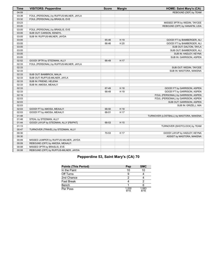| <b>Time</b> | <b>VISITORS: Pepperdine</b>             | <b>Score</b> | <b>Margin</b> | <b>HOME: Saint Mary's (CA)</b>         |
|-------------|-----------------------------------------|--------------|---------------|----------------------------------------|
| 04:09       |                                         |              |               | REBOUND (DEF) by TEAM                  |
| 03:38       | FOUL (PERSONAL) by RUFFUS-MILNER, JAYLA |              |               |                                        |
| 03:32       | FOUL (PERSONAL) by BRASLIS, EVE         |              |               |                                        |
| 03:23       |                                         |              |               | MISSED 3PTR by WEDIN, TAYCEE           |
| 03:20       |                                         |              |               | REBOUND (OFF) by HANAFIN, LEIA         |
| 03:05       | FOUL (PERSONAL) by BRASLIS, EVE         |              |               |                                        |
| 03:05       | SUB OUT: CARSON, KENDYL                 |              |               |                                        |
| 03:05       | SUB IN: RUFFUS-MILNER, JAYDA            |              |               |                                        |
| 03:05       |                                         | 65-46        | H 19          | GOOD! FT by BAMBERGER, ALI             |
| 03:05       |                                         | 66-46        | H 20          | GOOD! FT by BAMBERGER, ALI             |
| 03:05       |                                         |              |               | SUB OUT: DALTON, TAYLA                 |
| 03:05       |                                         |              |               | SUB OUT: BAMBERGER, ALI                |
| 03:05       |                                         |              |               | SUB IN: HADLEY, KEYNA                  |
| 03:05       |                                         |              |               | SUB IN: GARRISON, ASPEN                |
| 02:52       | GOOD! 3PTR by STEDMAN, ALLY             | 66-49        | H 17          |                                        |
| 02:33       | FOUL (PERSONAL) by RUFFUS-MILNER, JAYLA |              |               |                                        |
| 02:33       |                                         |              |               | SUB OUT: WEDIN, TAYCEE                 |
| 02:33       |                                         |              |               | SUB IN: MASTORA, MAKENA                |
| 02:33       | SUB OUT: BAMBRICK, MALIA                |              |               |                                        |
| 02:33       | SUB OUT: RUFFUS-MILNER, JAYLA           |              |               |                                        |
| 02:33       | SUB IN: FRIEND, HELENA                  |              |               |                                        |
| 02:33       | SUB IN: AMOSA, MEAALI'I                 |              |               |                                        |
| 02:33       |                                         | 67-49        | H 18          | GOOD! FT by GARRISON, ASPEN            |
| 02:33       |                                         | 68-49        | H 19          | GOOD! FT by GARRISON, ASPEN            |
| 02:19       |                                         |              |               | FOUL (PERSONAL) by GARRISON, ASPEN     |
| 02:03       |                                         |              |               | FOUL (PERSONAL) by GARRISON, ASPEN     |
| 02:03       |                                         |              |               | SUB OUT: GARRISON, ASPEN               |
| 02:03       |                                         |              |               | SUB IN: GRIZELJ, MIA                   |
| 02:03       | GOOD! FT by AMOSA, MEAALI'I             | 68-50        | H 18          |                                        |
| 02:03       | GOOD! FT by AMOSA, MEAALI'I             | 68-51        | H 17          |                                        |
| 01:48       |                                         |              |               | TURNOVER (LOSTBALL) by MASTORA, MAKENA |
| 01:48       | STEAL by STEDMAN, ALLY                  |              |               |                                        |
| 01:44       | GOOD! LAYUP by STEDMAN, ALLY [FB/PNT]   | 68-53        | H 15          |                                        |
| 01:13       |                                         |              |               | TURNOVER (SHOTCLOCK) by TEAM           |
| 00:47       | TURNOVER (TRAVEL) by STEDMAN, ALLY      |              |               |                                        |
| 00:30       |                                         | 70-53        | H 17          | GOOD! LAYUP by HADLEY, KEYNA           |
| 00:30       |                                         |              |               | ASSIST by MASTORA, MAKENA              |
| 00:09       | MISSED JUMPER by RUFFUS-MILNER, JAYDA   |              |               |                                        |
| 00:09       | REBOUND (OFF) by AMOSA, MEAALI'I        |              |               |                                        |
| 00:08       | MISSED 3PTR by BRASLIS, EVE             |              |               |                                        |
| 00:08       | REBOUND (OFF) by RUFFUS-MILNER, JAYDA   |              |               |                                        |

# **Pepperdine 53, Saint Mary's (CA) 70**

| <b>Points (This Period)</b> | Pep           | <b>SMC</b>    |
|-----------------------------|---------------|---------------|
| In the Paint                | 10            | 10            |
| Off Turns                   | 9             |               |
| 2nd Chance                  | າ             |               |
| <b>Fast Break</b>           |               |               |
| Bench                       |               |               |
| Per Poss                    | 1.200<br>9/15 | 1.063<br>8/16 |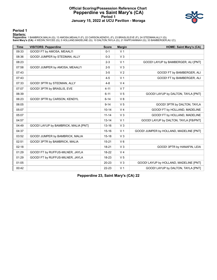### **Official Scoring/Possession Reference Chart Pepperdine vs Saint Mary's (CA) Period 1 January 15, 2022 at UCU Pavilion - Moraga**



**Period 1**

#### **Starters:**

Pepperdine: 1 BAMBRICK,MALIA (G); 13 AMOSA,MEAALI'I (F); 22 CARSON,KENDYL (F); 23 BRASLIS,EVE (F); 24 STEDMAN,ALLY (G);<br>**Saint Mary's (CA)**: 4 WEDIN,TAYCEE (G); 5 HOLLAND,MADELINE (G); 10 DALTON,TAYLA (G); 21 RAPP,HANNAH (

| <b>Time</b> | <b>VISITORS: Pepperdine</b>          | <b>Score</b> | <b>Margin</b>  | <b>HOME: Saint Mary's (CA)</b>          |
|-------------|--------------------------------------|--------------|----------------|-----------------------------------------|
| 09:33       | GOOD! FT by AMOSA, MEAALI'I          | $0 - 1$      | V <sub>1</sub> |                                         |
| 08:36       | GOOD! JUMPER by STEDMAN, ALLY        | $0 - 3$      | V <sub>3</sub> |                                         |
| 08:23       |                                      | $2 - 3$      | V <sub>1</sub> | GOOD! LAYUP by BAMBERGER, ALI [PNT]     |
| 07:58       | GOOD! JUMPER by AMOSA, MEAALI'I      | $2 - 5$      | V <sub>3</sub> |                                         |
| 07:43       |                                      | $3-5$        | V <sub>2</sub> | GOOD! FT by BAMBERGER, ALI              |
| 07:43       |                                      | $4 - 5$      | V <sub>1</sub> | GOOD! FT by BAMBERGER, ALI              |
| 07:33       | GOOD! 3PTR by STEDMAN, ALLY          | $4 - 8$      | V <sub>4</sub> |                                         |
| 07:07       | GOOD! 3PTR by BRASLIS, EVE           | $4 - 11$     | V <sub>7</sub> |                                         |
| 06:39       |                                      | $6 - 11$     | V <sub>5</sub> | GOOD! LAYUP by DALTON, TAYLA [PNT]      |
| 06:23       | GOOD! 3PTR by CARSON, KENDYL         | $6 - 14$     | V <sub>8</sub> |                                         |
| 06:05       |                                      | $9 - 14$     | V <sub>5</sub> | GOOD! 3PTR by DALTON, TAYLA             |
| 05:07       |                                      | $10 - 14$    | V <sub>4</sub> | GOOD! FT by HOLLAND, MADELINE           |
| 05:07       |                                      | $11 - 14$    | V <sub>3</sub> | GOOD! FT by HOLLAND, MADELINE           |
| 04:57       |                                      | $13 - 14$    | V <sub>1</sub> | GOOD! LAYUP by DALTON, TAYLA [FB/PNT]   |
| 04:49       | GOOD! LAYUP by BAMBRICK, MALIA [PNT] | $13 - 16$    | V <sub>3</sub> |                                         |
| 04:37       |                                      | $15 - 16$    | V <sub>1</sub> | GOOD! JUMPER by HOLLAND, MADELINE [PNT] |
| 03:52       | GOOD! JUMPER by BAMBRICK, MALIA      | $15 - 18$    | V <sub>3</sub> |                                         |
| 02:51       | GOOD! 3PTR by BAMBRICK, MALIA        | $15 - 21$    | $V_6$          |                                         |
| 02:18       |                                      | 18-21        | V <sub>3</sub> | GOOD! 3PTR by HANAFIN, LEIA             |
| 01:29       | GOOD! FT by RUFFUS-MILNER, JAYLA     | 18-22        | V <sub>4</sub> |                                         |
| 01:29       | GOOD! FT by RUFFUS-MILNER, JAYLA     | 18-23        | V <sub>5</sub> |                                         |
| 01:05       |                                      | $20 - 23$    | V <sub>3</sub> | GOOD! LAYUP by HOLLAND, MADELINE [PNT]  |
| 00:42       |                                      | 22-23        | V <sub>1</sub> | GOOD! LAYUP by DALTON, TAYLA [PNT]      |

**Pepperdine 23, Saint Mary's (CA) 22**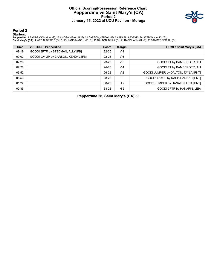### **Official Scoring/Possession Reference Chart Pepperdine vs Saint Mary's (CA) Period 2 January 15, 2022 at UCU Pavilion - Moraga**



**Period 2**

#### **Starters:**

Pepperdine: 1 BAMBRICK,MALIA (G); 13 AMOSA,MEAALI'I (F); 22 CARSON,KENDYL (F); 23 BRASLIS,EVE (F); 24 STEDMAN,ALLY (G);<br>**Saint Mary's (CA)**: 4 WEDIN,TAYCEE (G); 5 HOLLAND,MADELINE (G); 10 DALTON,TAYLA (G); 21 RAPP,HANNAH (

| <b>Time</b> | <b>VISITORS: Pepperdine</b>        | <b>Score</b> | <b>Margin</b>  | <b>HOME: Saint Mary's (CA)</b>      |
|-------------|------------------------------------|--------------|----------------|-------------------------------------|
| 09:19       | GOOD! 3PTR by STEDMAN, ALLY [FB]   | $22 - 26$    | V <sub>4</sub> |                                     |
| 09:02       | GOOD! LAYUP by CARSON, KENDYL [FB] | 22-28        | $V_6$          |                                     |
| 07:26       |                                    | 23-28        | V <sub>5</sub> | GOOD! FT by BAMBERGER, ALI          |
| 07:26       |                                    | 24-28        | V <sub>4</sub> | GOOD! FT by BAMBERGER, ALI          |
| 06:52       |                                    | 26-28        | V <sub>2</sub> | GOOD! JUMPER by DALTON, TAYLA [PNT] |
| 05:53       |                                    | 28-28        |                | GOOD! LAYUP by RAPP, HANNAH [PNT]   |
| 01:22       |                                    | $30 - 28$    | H <sub>2</sub> | GOOD! JUMPER by HANAFIN, LEIA [PNT] |
| 00:35       |                                    | 33-28        | H <sub>5</sub> | GOOD! 3PTR by HANAFIN, LEIA         |

**Pepperdine 28, Saint Mary's (CA) 33**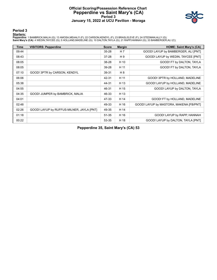### **Official Scoring/Possession Reference Chart Pepperdine vs Saint Mary's (CA) Period 3 January 15, 2022 at UCU Pavilion - Moraga**



**Period 3**

#### **Starters:**

Pepperdine: 1 BAMBRICK,MALIA (G); 13 AMOSA,MEAALI'I (F); 22 CARSON,KENDYL (F); 23 BRASLIS,EVE (F); 24 STEDMAN,ALLY (G);<br>**Saint Mary's (CA)**: 4 WEDIN,TAYCEE (G); 5 HOLLAND,MADELINE (G); 10 DALTON,TAYLA (G); 21 RAPP,HANNAH (

| <b>Time</b> | <b>VISITORS: Pepperdine</b>               | <b>Score</b> | <b>Margin</b> | <b>HOME: Saint Mary's (CA)</b>          |
|-------------|-------------------------------------------|--------------|---------------|-----------------------------------------|
| 09:44       |                                           | $35 - 28$    | H 7           | GOOD! LAYUP by BAMBERGER, ALI [PNT]     |
| 08:43       |                                           | $37 - 28$    | H9            | GOOD! LAYUP by WEDIN, TAYCEE [PNT]      |
| 08:05       |                                           | 38-28        | H 10          | GOOD! FT by DALTON, TAYLA               |
| 08:05       |                                           | 39-28        | H 11          | GOOD! FT by DALTON, TAYLA               |
| 07:10       | GOOD! 3PTR by CARSON, KENDYL              | 39-31        | H 8           |                                         |
| 06:06       |                                           | 42-31        | H 11          | GOOD! 3PTR by HOLLAND, MADELINE         |
| 05:38       |                                           | 44-31        | H 13          | GOOD! LAYUP by HOLLAND, MADELINE        |
| 04:55       |                                           | 46-31        | H 15          | GOOD! LAYUP by DALTON, TAYLA            |
| 04:35       | GOOD! JUMPER by BAMBRICK, MALIA           | 46-33        | H 13          |                                         |
| 04:01       |                                           | 47-33        | H 14          | GOOD! FT by HOLLAND, MADELINE           |
| 02:48       |                                           | 49-33        | H 16          | GOOD! LAYUP by MASTORA, MAKENA [FB/PNT] |
| 02:26       | GOOD! LAYUP by RUFFUS-MILNER, JAYLA [PNT] | 49-35        | H 14          |                                         |
| 01:18       |                                           | 51-35        | H 16          | GOOD! LAYUP by RAPP, HANNAH             |
| 00:22       |                                           | 53-35        | H 18          | GOOD! LAYUP by DALTON, TAYLA [PNT]      |

**Pepperdine 35, Saint Mary's (CA) 53**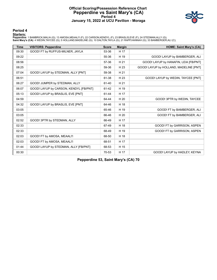### **Official Scoring/Possession Reference Chart Pepperdine vs Saint Mary's (CA) Period 4 January 15, 2022 at UCU Pavilion - Moraga**



**Period 4**

#### **Starters:**

Pepperdine: 1 BAMBRICK,MALIA (G); 13 AMOSA,MEAALI'I (F); 22 CARSON,KENDYL (F); 23 BRASLIS,EVE (F); 24 STEDMAN,ALLY (G);<br>**Saint Mary's (CA)**: 4 WEDIN,TAYCEE (G); 5 HOLLAND,MADELINE (G); 10 DALTON,TAYLA (G); 21 RAPP,HANNAH (

| <b>Time</b> | <b>VISITORS: Pepperdine</b>            | <b>Score</b> | <b>Margin</b> | <b>HOME: Saint Mary's (CA)</b>         |
|-------------|----------------------------------------|--------------|---------------|----------------------------------------|
| 09:30       | GOOD! FT by RUFFUS-MILNER, JAYLA       | 53-36        | H 17          |                                        |
| 09:22       |                                        | 55-36        | H 19          | GOOD! LAYUP by BAMBERGER, ALI          |
| 08:56       |                                        | 57-36        | H 21          | GOOD! LAYUP by HANAFIN, LEIA [FB/PNT]  |
| 08:25       |                                        | 59-36        | H 23          | GOOD! LAYUP by HOLLAND, MADELINE [PNT] |
| 07:04       | GOOD! LAYUP by STEDMAN, ALLY [PNT]     | 59-38        | H 21          |                                        |
| 06:51       |                                        | 61-38        | H 23          | GOOD! LAYUP by WEDIN, TAYCEE [PNT]     |
| 06:27       | GOOD! JUMPER by STEDMAN, ALLY          | 61-40        | H 21          |                                        |
| 06:07       | GOOD! LAYUP by CARSON, KENDYL [FB/PNT] | 61-42        | H 19          |                                        |
| 05:13       | GOOD! LAYUP by BRASLIS, EVE [PNT]      | 61-44        | H 17          |                                        |
| 04:59       |                                        | 64-44        | H 20          | GOOD! 3PTR by WEDIN, TAYCEE            |
| 04:32       | GOOD! LAYUP by BRASLIS, EVE [PNT]      | 64-46        | H 18          |                                        |
| 03:05       |                                        | 65-46        | H 19          | GOOD! FT by BAMBERGER, ALI             |
| 03:05       |                                        | 66-46        | H 20          | GOOD! FT by BAMBERGER, ALI             |
| 02:52       | GOOD! 3PTR by STEDMAN, ALLY            | 66-49        | H 17          |                                        |
| 02:33       |                                        | 67-49        | H 18          | GOOD! FT by GARRISON, ASPEN            |
| 02:33       |                                        | 68-49        | H 19          | GOOD! FT by GARRISON, ASPEN            |
| 02:03       | GOOD! FT by AMOSA, MEAALI'I            | 68-50        | H 18          |                                        |
| 02:03       | GOOD! FT by AMOSA, MEAALI'I            | 68-51        | H 17          |                                        |
| 01:44       | GOOD! LAYUP by STEDMAN, ALLY [FB/PNT]  | 68-53        | H 15          |                                        |
| 00:30       |                                        | 70-53        | H 17          | GOOD! LAYUP by HADLEY, KEYNA           |

**Pepperdine 53, Saint Mary's (CA) 70**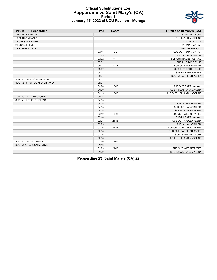#### **Official Substitutions Log Pepperdine vs Saint Mary's (CA) Period 1 January 15, 2022 at UCU Pavilion - Moraga**

| <b>VISITORS: Pepperdine</b>     | <b>Time</b> | <b>Score</b> | <b>HOME: Saint Mary's (CA)</b> |
|---------------------------------|-------------|--------------|--------------------------------|
| 1 BAMBRICK, MALIA               |             |              | 4 WEDIN, TAYCEE                |
| 13 AMOSA, MEAALI'I              |             |              | 5 HOLLAND, MADELINE            |
| 22 CARSON, KENDYL               |             |              | 10 DALTON, TAYLA               |
| 23 BRASLIS, EVE                 |             |              | 21 RAPP, HANNAH                |
| 24 STEDMAN, ALLY                |             |              | 33 BAMBERGER, ALI              |
|                                 | 07:43       | $5 - 2$      | SUB OUT: RAPP, HANNAH          |
|                                 | 07:43       |              | SUB IN: HANAFIN, LEIA          |
|                                 | 07:02       | $11 - 4$     | SUB OUT: BAMBERGER, ALI        |
|                                 | 07:02       |              | SUB IN: CROCO, ELLIE           |
|                                 | 05:07       | $14-9$       | SUB OUT: HANAFIN, LEIA         |
|                                 | 05:07       |              | SUB OUT: CROCO, ELLIE          |
|                                 | 05:07       |              | SUB IN: RAPP, HANNAH           |
|                                 | 05:07       |              | SUB IN: GARRISON, ASPEN        |
| SUB OUT: 13 AMOSA, MEAALI'I     | 05:07       |              |                                |
| SUB IN: 14 RUFFUS-MILNER, JAYLA | 05:07       |              |                                |
|                                 | 04:20       | $16 - 15$    | SUB OUT: RAPP, HANNAH          |
|                                 | 04:20       |              | SUB IN: MASTORA, MAKENA        |
|                                 | 04:15       | $16 - 15$    | SUB OUT: HOLLAND, MADELINE     |
| SUB OUT: 22 CARSON, KENDYL      | 04:15       |              |                                |
| SUB IN: 11 FRIEND, HELENA       | 04:15       |              |                                |
|                                 | 04:15       |              | SUB IN: HANAFIN, LEIA          |
|                                 | 04:15       |              | SUB OUT: HANAFIN, LEIA         |
|                                 | 04:15       |              | SUB IN: HADLEY, KEYNA          |
|                                 | 03:40       | $18 - 15$    | SUB OUT: WEDIN, TAYCEE         |
|                                 | 03:40       |              | SUB IN: RAPP, HANNAH           |
|                                 | 02:25       | $21 - 15$    | SUB OUT: HADLEY, KEYNA         |
|                                 | 02:25       |              | SUB IN: HANAFIN, LEIA          |
|                                 | 02:06       | $21 - 18$    | SUB OUT: MASTORA, MAKENA       |
|                                 | 02:06       |              | SUB OUT: GARRISON, ASPEN       |
|                                 | 02:06       |              | SUB IN: WEDIN, TAYCEE          |
|                                 | 02:06       |              | SUB IN: HOLLAND, MADELINE      |
| SUB OUT: 24 STEDMAN, ALLY       | 01:46       | $21 - 18$    |                                |
| SUB IN: 22 CARSON, KENDYL       | 01:46       |              |                                |
|                                 | 01:29       | $21 - 18$    | SUB OUT: WEDIN, TAYCEE         |
|                                 | 01:29       |              | SUB IN: MASTORA, MAKENA        |

**Pepperdine 23, Saint Mary's (CA) 22**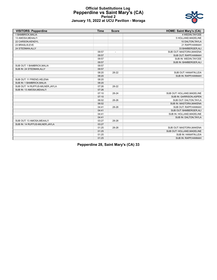

#### **Official Substitutions Log Pepperdine vs Saint Mary's (CA) Period 2 January 15, 2022 at UCU Pavilion - Moraga**

| <b>VISITORS: Pepperdine</b>     | <b>Time</b> | <b>Score</b> | <b>HOME: Saint Mary's (CA)</b> |
|---------------------------------|-------------|--------------|--------------------------------|
| 1 BAMBRICK, MALIA               |             |              | 4 WEDIN, TAYCEE                |
| 13 AMOSA, MEAALI'I              |             |              | 5 HOLLAND, MADELINE            |
| 22 CARSON, KENDYL               |             |              | 10 DALTON, TAYLA               |
| 23 BRASLIS, EVE                 |             |              | 21 RAPP, HANNAH                |
| 24 STEDMAN, ALLY                |             |              | 33 BAMBERGER, ALI              |
|                                 | 09:57       |              | SUB OUT: MASTORA, MAKENA       |
|                                 | 09:57       |              | SUB OUT: RAPP, HANNAH          |
|                                 | 09:57       |              | SUB IN: WEDIN, TAYCEE          |
|                                 | 09:57       |              | SUB IN: BAMBERGER, ALI         |
| SUB OUT: 1 BAMBRICK.MALIA       | 09:57       |              |                                |
| SUB IN: 24 STEDMAN, ALLY        | 09:57       |              |                                |
|                                 | 08:20       | 28-22        | SUB OUT: HANAFIN, LEIA         |
|                                 | 08:20       |              | SUB IN: RAPP, HANNAH           |
| SUB OUT: 11 FRIEND, HELENA      | 08:20       |              |                                |
| SUB IN: 1 BAMBRICK, MALIA       | 08:20       |              |                                |
| SUB OUT: 14 RUFFUS-MILNER.JAYLA | 07:26       | 28-22        |                                |
| SUB IN: 13 AMOSA, MEAALI'I      | 07:26       |              |                                |
|                                 | 07:10       | 28-24        | SUB OUT: HOLLAND, MADELINE     |
|                                 | 07:10       |              | SUB IN: GARRISON, ASPEN        |
|                                 | 06:02       | 28-26        | SUB OUT: DALTON, TAYLA         |
|                                 | 06:02       |              | SUB IN: MASTORA, MAKENA        |
|                                 | 04:41       | 28-28        | SUB OUT: RAPP, HANNAH          |
|                                 | 04:41       |              | SUB OUT: BAMBERGER, ALI        |
|                                 | 04:41       |              | SUB IN: HOLLAND, MADELINE      |
|                                 | 04:41       |              | SUB IN: DALTON, TAYLA          |
| SUB OUT: 13 AMOSA, MEAALI'I     | 03:27       | 28-28        |                                |
| SUB IN: 14 RUFFUS-MILNER, JAYLA | 03:27       |              |                                |
|                                 | 01:25       | 28-28        | SUB OUT: MASTORA, MAKENA       |
|                                 | 01:25       |              | SUB OUT: HOLLAND, MADELINE     |
|                                 | 01:25       |              | SUB IN: HANAFIN, LEIA          |
|                                 | 01:25       |              | SUB IN: RAPP, HANNAH           |

**Pepperdine 28, Saint Mary's (CA) 33**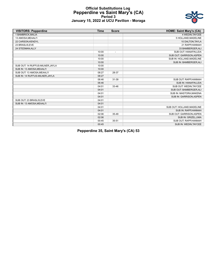

#### **Official Substitutions Log Pepperdine vs Saint Mary's (CA) Period 3 January 15, 2022 at UCU Pavilion - Moraga**

| <b>VISITORS: Pepperdine</b>      | <b>Time</b> | <b>Score</b>             | <b>HOME: Saint Mary's (CA)</b> |
|----------------------------------|-------------|--------------------------|--------------------------------|
| 1 BAMBRICK, MALIA                |             |                          | 4 WEDIN.TAYCEE                 |
| 13 AMOSA, MEAALI'I               |             |                          | 5 HOLLAND, MADELINE            |
| 22 CARSON, KENDYL                |             |                          | 10 DALTON, TAYLA               |
| 23 BRASLIS.EVE                   |             |                          | 21 RAPP, HANNAH                |
| 24 STEDMAN, ALLY                 |             |                          | 33 BAMBERGER, ALI              |
|                                  | 10:00       | $\overline{\phantom{a}}$ | SUB OUT: HANAFIN, LEIA         |
|                                  | 10:00       |                          | SUB OUT: GARRISON, ASPEN       |
|                                  | 10:00       |                          | SUB IN: HOLLAND, MADELINE      |
|                                  | 10:00       |                          | SUB IN: BAMBERGER, ALI         |
| SUB OUT: 14 RUFFUS-MILNER, JAYLA | 10:00       |                          |                                |
| SUB IN: 13 AMOSA, MEAALI'I       | 10:00       |                          |                                |
| SUB OUT: 13 AMOSA, MEAALI'I      | 08:27       | 28-37                    |                                |
| SUB IN: 14 RUFFUS-MILNER, JAYLA  | 08:27       |                          |                                |
|                                  | 06:46       | 31-39                    | SUB OUT: RAPP, HANNAH          |
|                                  | 06:46       |                          | SUB IN: HANAFIN, LEIA          |
|                                  | 04:01       | 33-46                    | SUB OUT: WEDIN.TAYCEE          |
|                                  | 04:01       |                          | SUB OUT: BAMBERGER, ALI        |
|                                  | 04:01       |                          | SUB IN: MASTORA, MAKENA        |
|                                  | 04:01       |                          | SUB IN: GARRISON, ASPEN        |
| SUB OUT: 23 BRASLIS, EVE         | 04:01       |                          |                                |
| SUB IN: 13 AMOSA, MEAALI'I       | 04:01       |                          |                                |
|                                  | 04:01       |                          | SUB OUT: HOLLAND, MADELINE     |
|                                  | 04:01       |                          | SUB IN: RAPP, HANNAH           |
|                                  | 02:06       | 35-49                    | SUB OUT: GARRISON, ASPEN       |
|                                  | 02:06       |                          | SUB IN: GRIZELJ, MIA           |
|                                  | 00:45       | 35-51                    | SUB OUT: RAPP.HANNAH           |
|                                  | 00:45       |                          | SUB IN: WEDIN, TAYCEE          |

**Pepperdine 35, Saint Mary's (CA) 53**